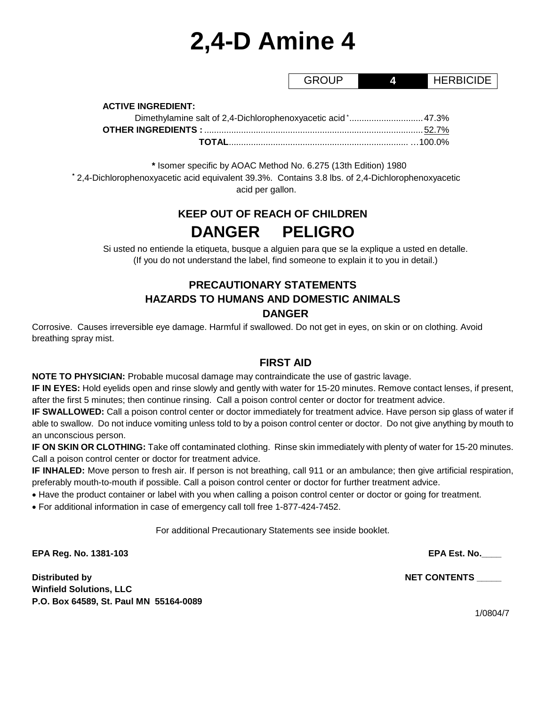# **2,4-D Amine 4**

GROUP **4** HERBICIDE

**ACTIVE INGREDIENT:**

| Dimethylamine salt of 2,4-Dichlorophenoxyacetic acid * 47.3% |  |
|--------------------------------------------------------------|--|
|                                                              |  |
|                                                              |  |

**\*** Isomer specific by AOAC Method No. 6.275 (13th Edition) 1980 **\*** 2,4-Dichlorophenoxyacetic acid equivalent 39.3%. Contains 3.8 lbs. of 2,4-Dichlorophenoxyacetic acid per gallon.

# **KEEP OUT OF REACH OF CHILDREN DANGER PELIGRO**

Si usted no entiende la etiqueta, busque a alguien para que se la explique a usted en detalle. (If you do not understand the label, find someone to explain it to you in detail.)

# **PRECAUTIONARY STATEMENTS HAZARDS TO HUMANS AND DOMESTIC ANIMALS DANGER**

Corrosive. Causes irreversible eye damage. Harmful if swallowed. Do not get in eyes, on skin or on clothing. Avoid breathing spray mist.

# **FIRST AID**

**NOTE TO PHYSICIAN:** Probable mucosal damage may contraindicate the use of gastric lavage.

**IF IN EYES:** Hold eyelids open and rinse slowly and gently with water for 15-20 minutes. Remove contact lenses, if present, after the first 5 minutes; then continue rinsing. Call a poison control center or doctor for treatment advice.

**IF SWALLOWED:** Call a poison control center or doctor immediately for treatment advice. Have person sip glass of water if able to swallow. Do not induce vomiting unless told to by a poison control center or doctor. Do not give anything by mouth to an unconscious person.

**IF ON SKIN OR CLOTHING:** Take off contaminated clothing. Rinse skin immediately with plenty of water for 15-20 minutes. Call a poison control center or doctor for treatment advice.

**IF INHALED:** Move person to fresh air. If person is not breathing, call 911 or an ambulance; then give artificial respiration, preferably mouth-to-mouth if possible. Call a poison control center or doctor for further treatment advice.

• Have the product container or label with you when calling a poison control center or doctor or going for treatment.

• For additional information in case of emergency call toll free 1-877-424-7452.

For additional Precautionary Statements see inside booklet.

**EPA Reg. No. 1381-103 EPA Est. No.\_\_\_\_**

**Distributed by NET CONTENTS \_\_\_\_\_ Winfield Solutions, LLC P.O. Box 64589, St. Paul MN 55164-0089**

1/0804/7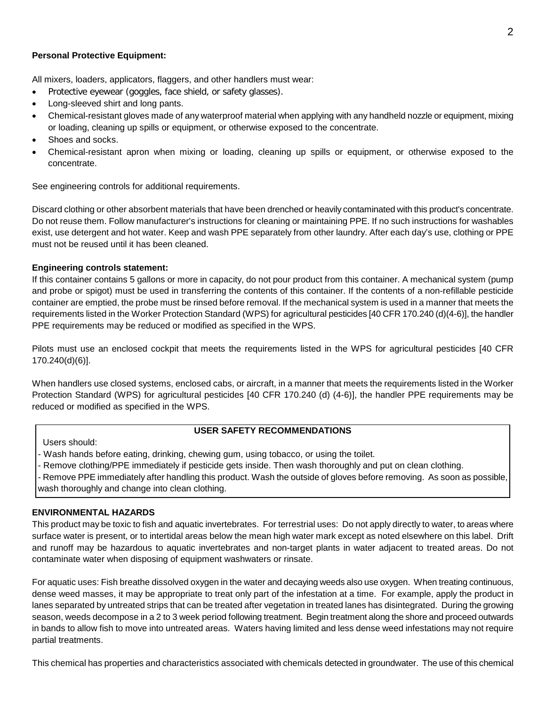#### **Personal Protective Equipment:**

All mixers, loaders, applicators, flaggers, and other handlers must wear:

- Protective eyewear (goggles, face shield, or safety glasses).
- Long-sleeved shirt and long pants.
- Chemical-resistant gloves made of any waterproof material when applying with any handheld nozzle or equipment, mixing or loading, cleaning up spills or equipment, or otherwise exposed to the concentrate.
- Shoes and socks.
- Chemical-resistant apron when mixing or loading, cleaning up spills or equipment, or otherwise exposed to the concentrate.

See engineering controls for additional requirements.

Discard clothing or other absorbent materials that have been drenched or heavily contaminated with this product's concentrate. Do not reuse them. Follow manufacturer's instructions for cleaning or maintaining PPE. If no such instructions for washables exist, use detergent and hot water. Keep and wash PPE separately from other laundry. After each day's use, clothing or PPE must not be reused until it has been cleaned.

#### **Engineering controls statement:**

If this container contains 5 gallons or more in capacity, do not pour product from this container. A mechanical system (pump and probe or spigot) must be used in transferring the contents of this container. If the contents of a non-refillable pesticide container are emptied, the probe must be rinsed before removal. If the mechanical system is used in a manner that meets the requirements listed in the Worker Protection Standard (WPS) for agricultural pesticides [40 CFR 170.240 (d)(4-6)], the handler PPE requirements may be reduced or modified as specified in the WPS.

Pilots must use an enclosed cockpit that meets the requirements listed in the WPS for agricultural pesticides [40 CFR 170.240(d)(6)].

When handlers use closed systems, enclosed cabs, or aircraft, in a manner that meets the requirements listed in the Worker Protection Standard (WPS) for agricultural pesticides [40 CFR 170.240 (d) (4-6)], the handler PPE requirements may be reduced or modified as specified in the WPS.

#### **USER SAFETY RECOMMENDATIONS**

Users should:

Wash hands before eating, drinking, chewing gum, using tobacco, or using the toilet.

- Remove clothing/PPE immediately if pesticide gets inside. Then wash thoroughly and put on clean clothing.

- Remove PPE immediately after handling this product. Wash the outside of gloves before removing. As soon as possible, wash thoroughly and change into clean clothing.

#### **ENVIRONMENTAL HAZARDS**

This product may be toxic to fish and aquatic invertebrates. For terrestrial uses: Do not apply directly to water, to areas where surface water is present, or to intertidal areas below the mean high water mark except as noted elsewhere on this label. Drift and runoff may be hazardous to aquatic invertebrates and non-target plants in water adjacent to treated areas. Do not contaminate water when disposing of equipment washwaters or rinsate.

For aquatic uses: Fish breathe dissolved oxygen in the water and decaying weeds also use oxygen. When treating continuous, dense weed masses, it may be appropriate to treat only part of the infestation at a time. For example, apply the product in lanes separated by untreated strips that can be treated after vegetation in treated lanes has disintegrated. During the growing season, weeds decompose in a 2 to 3 week period following treatment. Begin treatment along the shore and proceed outwards in bands to allow fish to move into untreated areas. Waters having limited and less dense weed infestations may not require partial treatments.

This chemical has properties and characteristics associated with chemicals detected in groundwater. The use of this chemical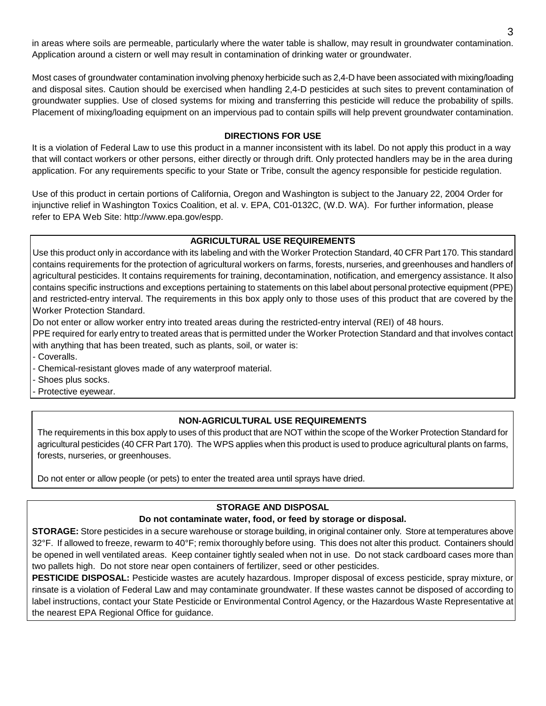in areas where soils are permeable, particularly where the water table is shallow, may result in groundwater contamination. Application around a cistern or well may result in contamination of drinking water or groundwater.

Most cases of groundwater contamination involving phenoxy herbicide such as 2,4-D have been associated with mixing/loading and disposal sites. Caution should be exercised when handling 2,4-D pesticides at such sites to prevent contamination of groundwater supplies. Use of closed systems for mixing and transferring this pesticide will reduce the probability of spills. Placement of mixing/loading equipment on an impervious pad to contain spills will help prevent groundwater contamination.

#### **DIRECTIONS FOR USE**

It is a violation of Federal Law to use this product in a manner inconsistent with its label. Do not apply this product in a way that will contact workers or other persons, either directly or through drift. Only protected handlers may be in the area during application. For any requirements specific to your State or Tribe, consult the agency responsible for pesticide regulation.

Use of this product in certain portions of California, Oregon and Washington is subject to the January 22, 2004 Order for injunctive relief in Washington Toxics Coalition, et al. v. EPA, C01-0132C, (W.D. WA). For further information, please refer to EPA Web Site: http://www.epa.gov/espp.

#### **AGRICULTURAL USE REQUIREMENTS**

Use this product only in accordance with its labeling and with the Worker Protection Standard, 40 CFR Part 170. This standard contains requirements for the protection of agricultural workers on farms, forests, nurseries, and greenhouses and handlers of agricultural pesticides. It contains requirements for training, decontamination, notification, and emergency assistance. It also contains specific instructions and exceptions pertaining to statements on this label about personal protective equipment (PPE) and restricted-entry interval. The requirements in this box apply only to those uses of this product that are covered by the Worker Protection Standard.

Do not enter or allow worker entry into treated areas during the restricted-entry interval (REI) of 48 hours.

PPE required for early entry to treated areas that is permitted under the Worker Protection Standard and that involves contact with anything that has been treated, such as plants, soil, or water is:

- Coveralls.

- Chemical-resistant gloves made of any waterproof material.

- Shoes plus socks.

- Protective eyewear.

# **NON-AGRICULTURAL USE REQUIREMENTS**

The requirements in this box apply to uses of this product that are NOT within the scope of the Worker Protection Standard for agricultural pesticides (40 CFR Part 170). The WPS applies when this product is used to produce agricultural plants on farms, forests, nurseries, or greenhouses.

Do not enter or allow people (or pets) to enter the treated area until sprays have dried.

# **STORAGE AND DISPOSAL**

# **Do not contaminate water, food, or feed by storage or disposal.**

**STORAGE:** Store pesticides in a secure warehouse or storage building, in original container only. Store at temperatures above 32°F. If allowed to freeze, rewarm to 40°F; remix thoroughly before using. This does not alter this product. Containers should be opened in well ventilated areas. Keep container tightly sealed when not in use. Do not stack cardboard cases more than two pallets high. Do not store near open containers of fertilizer, seed or other pesticides.

**PESTICIDE DISPOSAL:** Pesticide wastes are acutely hazardous. Improper disposal of excess pesticide, spray mixture, or rinsate is a violation of Federal Law and may contaminate groundwater. If these wastes cannot be disposed of according to label instructions, contact your State Pesticide or Environmental Control Agency, or the Hazardous Waste Representative at the nearest EPA Regional Office for guidance.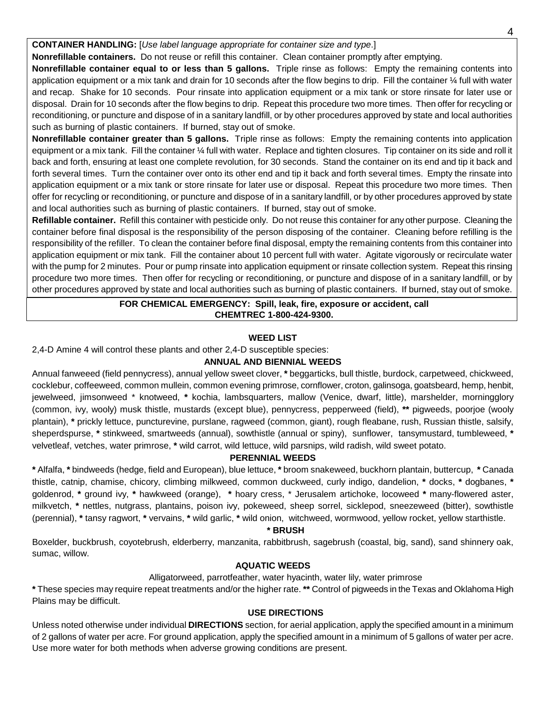#### **CONTAINER HANDLING:** [*Use label language appropriate for container size and type*.]

**Nonrefillable containers.** Do not reuse or refill this container. Clean container promptly after emptying.

**Nonrefillable container equal to or less than 5 gallons.** Triple rinse as follows: Empty the remaining contents into application equipment or a mix tank and drain for 10 seconds after the flow begins to drip. Fill the container 1/4 full with water and recap. Shake for 10 seconds. Pour rinsate into application equipment or a mix tank or store rinsate for later use or disposal. Drain for 10 seconds after the flow begins to drip. Repeat this procedure two more times. Then offer for recycling or reconditioning, or puncture and dispose of in a sanitary landfill, or by other procedures approved by state and local authorities such as burning of plastic containers. If burned, stay out of smoke.

**Nonrefillable container greater than 5 gallons.** Triple rinse as follows: Empty the remaining contents into application equipment or a mix tank. Fill the container ¼ full with water. Replace and tighten closures. Tip container on its side and roll it back and forth, ensuring at least one complete revolution, for 30 seconds. Stand the container on its end and tip it back and forth several times. Turn the container over onto its other end and tip it back and forth several times. Empty the rinsate into application equipment or a mix tank or store rinsate for later use or disposal. Repeat this procedure two more times. Then offer for recycling or reconditioning, or puncture and dispose of in a sanitary landfill, or by other procedures approved by state and local authorities such as burning of plastic containers. If burned, stay out of smoke.

**Refillable container.** Refill this container with pesticide only. Do not reuse this container for any other purpose. Cleaning the container before final disposal is the responsibility of the person disposing of the container. Cleaning before refilling is the responsibility of the refiller. To clean the container before final disposal, empty the remaining contents from this container into application equipment or mix tank. Fill the container about 10 percent full with water. Agitate vigorously or recirculate water with the pump for 2 minutes. Pour or pump rinsate into application equipment or rinsate collection system. Repeat this rinsing procedure two more times. Then offer for recycling or reconditioning, or puncture and dispose of in a sanitary landfill, or by other procedures approved by state and local authorities such as burning of plastic containers. If burned, stay out of smoke.

#### **FOR CHEMICAL EMERGENCY: Spill, leak, fire, exposure or accident, call CHEMTREC 1-800-424-9300.**

#### **WEED LIST**

2,4-D Amine 4 will control these plants and other 2,4-D susceptible species:

#### **ANNUAL AND BIENNIAL WEEDS**

Annual fanweeed (field pennycress), annual yellow sweet clover, **\*** beggarticks, bull thistle, burdock, carpetweed, chickweed, cocklebur, coffeeweed, common mullein, common evening primrose, cornflower, croton, galinsoga, goatsbeard, hemp, henbit, jewelweed, jimsonweed \* knotweed, **\*** kochia, lambsquarters, mallow (Venice, dwarf, little), marshelder, morningglory (common, ivy, wooly) musk thistle, mustards (except blue), pennycress, pepperweed (field), **\*\*** pigweeds, poorjoe (wooly plantain), **\*** prickly lettuce, puncturevine, purslane, ragweed (common, giant), rough fleabane, rush, Russian thistle, salsify, sheperdspurse, **\*** stinkweed, smartweeds (annual), sowthistle (annual or spiny), sunflower, tansymustard, tumbleweed, **\*** velvetleaf, vetches, water primrose, **\*** wild carrot, wild lettuce, wild parsnips, wild radish, wild sweet potato.

#### **PERENNIAL WEEDS**

**\*** Alfalfa, **\*** bindweeds (hedge, field and European), blue lettuce, **\*** broom snakeweed, buckhorn plantain, buttercup, **\*** Canada thistle, catnip, chamise, chicory, climbing milkweed, common duckweed, curly indigo, dandelion, **\*** docks, **\*** dogbanes, **\***  goldenrod, **\*** ground ivy, **\*** hawkweed (orange), **\*** hoary cress, \* Jerusalem artichoke, locoweed **\*** many-flowered aster, milkvetch, **\*** nettles, nutgrass, plantains, poison ivy, pokeweed, sheep sorrel, sicklepod, sneezeweed (bitter), sowthistle (perennial), **\*** tansy ragwort, **\*** vervains, **\*** wild garlic, **\*** wild onion, witchweed, wormwood, yellow rocket, yellow starthistle.

#### **\* BRUSH**

Boxelder, buckbrush, coyotebrush, elderberry, manzanita, rabbitbrush, sagebrush (coastal, big, sand), sand shinnery oak, sumac, willow.

#### **AQUATIC WEEDS**

#### Alligatorweed, parrotfeather, water hyacinth, water lily, water primrose

**\*** These species may require repeat treatments and/or the higher rate. **\*\*** Control of pigweeds in the Texas and Oklahoma High Plains may be difficult.

#### **USE DIRECTIONS**

Unless noted otherwise under individual **DIRECTIONS** section, for aerial application, apply the specified amount in a minimum of 2 gallons of water per acre. For ground application, apply the specified amount in a minimum of 5 gallons of water per acre. Use more water for both methods when adverse growing conditions are present.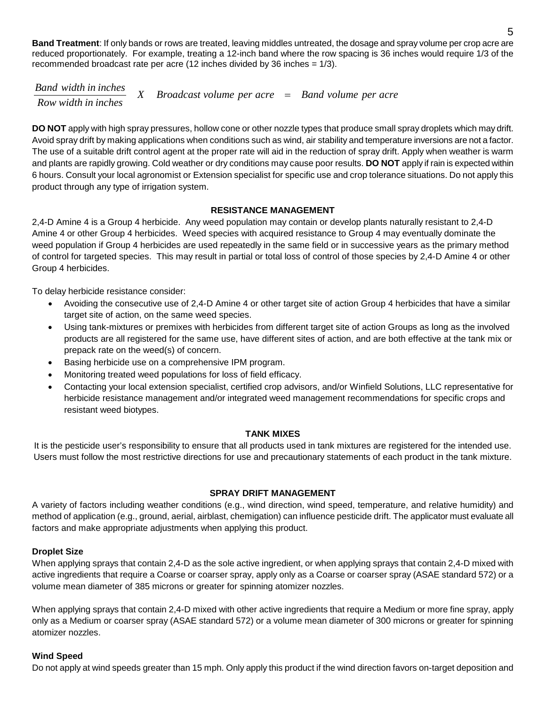**Band Treatment**: If only bands or rows are treated, leaving middles untreated, the dosage and spray volume per crop acre are reduced proportionately. For example, treating a 12-inch band where the row spacing is 36 inches would require 1/3 of the recommended broadcast rate per acre (12 inches divided by 36 inches = 1/3).

*X Broadcast volume per acre Band volume per acre Band width in inches* <sup>=</sup> *Row width in inches*

**DO NOT** apply with high spray pressures, hollow cone or other nozzle types that produce small spray droplets which may drift. Avoid spray drift by making applications when conditions such as wind, air stability and temperature inversions are not a factor. The use of a suitable drift control agent at the proper rate will aid in the reduction of spray drift. Apply when weather is warm and plants are rapidly growing. Cold weather or dry conditions may cause poor results. **DO NOT** apply if rain is expected within 6 hours. Consult your local agronomist or Extension specialist for specific use and crop tolerance situations. Do not apply this product through any type of irrigation system.

#### **RESISTANCE MANAGEMENT**

2,4-D Amine 4 is a Group 4 herbicide. Any weed population may contain or develop plants naturally resistant to 2,4-D Amine 4 or other Group 4 herbicides. Weed species with acquired resistance to Group 4 may eventually dominate the weed population if Group 4 herbicides are used repeatedly in the same field or in successive years as the primary method of control for targeted species. This may result in partial or total loss of control of those species by 2,4-D Amine 4 or other Group 4 herbicides.

To delay herbicide resistance consider:

- Avoiding the consecutive use of 2,4-D Amine 4 or other target site of action Group 4 herbicides that have a similar target site of action, on the same weed species.
- Using tank-mixtures or premixes with herbicides from different target site of action Groups as long as the involved products are all registered for the same use, have different sites of action, and are both effective at the tank mix or prepack rate on the weed(s) of concern.
- Basing herbicide use on a comprehensive IPM program.
- Monitoring treated weed populations for loss of field efficacy.
- Contacting your local extension specialist, certified crop advisors, and/or Winfield Solutions, LLC representative for herbicide resistance management and/or integrated weed management recommendations for specific crops and resistant weed biotypes.

#### **TANK MIXES**

It is the pesticide user's responsibility to ensure that all products used in tank mixtures are registered for the intended use. Users must follow the most restrictive directions for use and precautionary statements of each product in the tank mixture.

#### **SPRAY DRIFT MANAGEMENT**

A variety of factors including weather conditions (e.g., wind direction, wind speed, temperature, and relative humidity) and method of application (e.g., ground, aerial, airblast, chemigation) can influence pesticide drift. The applicator must evaluate all factors and make appropriate adjustments when applying this product.

#### **Droplet Size**

When applying sprays that contain 2,4-D as the sole active ingredient, or when applying sprays that contain 2,4-D mixed with active ingredients that require a Coarse or coarser spray, apply only as a Coarse or coarser spray (ASAE standard 572) or a volume mean diameter of 385 microns or greater for spinning atomizer nozzles.

When applying sprays that contain 2,4-D mixed with other active ingredients that require a Medium or more fine spray, apply only as a Medium or coarser spray (ASAE standard 572) or a volume mean diameter of 300 microns or greater for spinning atomizer nozzles.

#### **Wind Speed**

Do not apply at wind speeds greater than 15 mph. Only apply this product if the wind direction favors on-target deposition and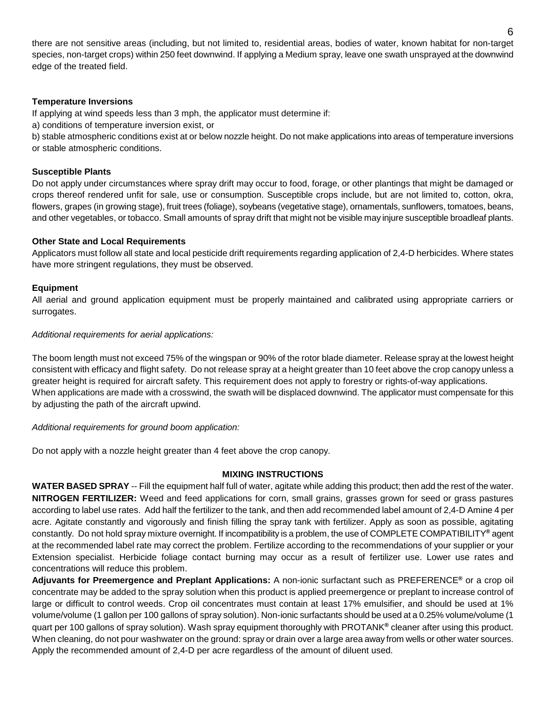there are not sensitive areas (including, but not limited to, residential areas, bodies of water, known habitat for non-target species, non-target crops) within 250 feet downwind. If applying a Medium spray, leave one swath unsprayed at the downwind edge of the treated field.

#### **Temperature Inversions**

If applying at wind speeds less than 3 mph, the applicator must determine if:

a) conditions of temperature inversion exist, or

b) stable atmospheric conditions exist at or below nozzle height. Do not make applications into areas of temperature inversions or stable atmospheric conditions.

#### **Susceptible Plants**

Do not apply under circumstances where spray drift may occur to food, forage, or other plantings that might be damaged or crops thereof rendered unfit for sale, use or consumption. Susceptible crops include, but are not limited to, cotton, okra, flowers, grapes (in growing stage), fruit trees (foliage), soybeans (vegetative stage), ornamentals, sunflowers, tomatoes, beans, and other vegetables, or tobacco. Small amounts of spray drift that might not be visible may injure susceptible broadleaf plants.

#### **Other State and Local Requirements**

Applicators must follow all state and local pesticide drift requirements regarding application of 2,4-D herbicides. Where states have more stringent regulations, they must be observed.

#### **Equipment**

All aerial and ground application equipment must be properly maintained and calibrated using appropriate carriers or surrogates.

#### *Additional requirements for aerial applications:*

The boom length must not exceed 75% of the wingspan or 90% of the rotor blade diameter. Release spray at the lowest height consistent with efficacy and flight safety. Do not release spray at a height greater than 10 feet above the crop canopy unless a greater height is required for aircraft safety. This requirement does not apply to forestry or rights-of-way applications. When applications are made with a crosswind, the swath will be displaced downwind. The applicator must compensate for this by adjusting the path of the aircraft upwind.

#### *Additional requirements for ground boom application:*

Do not apply with a nozzle height greater than 4 feet above the crop canopy.

#### **MIXING INSTRUCTIONS**

**WATER BASED SPRAY** -- Fill the equipment half full of water, agitate while adding this product; then add the rest of the water. **NITROGEN FERTILIZER:** Weed and feed applications for corn, small grains, grasses grown for seed or grass pastures according to label use rates. Add half the fertilizer to the tank, and then add recommended label amount of 2,4-D Amine 4 per acre. Agitate constantly and vigorously and finish filling the spray tank with fertilizer. Apply as soon as possible, agitating constantly. Do not hold spray mixture overnight. If incompatibility is a problem, the use of COMPLETE COMPATIBILITY**®** agent at the recommended label rate may correct the problem. Fertilize according to the recommendations of your supplier or your Extension specialist. Herbicide foliage contact burning may occur as a result of fertilizer use. Lower use rates and concentrations will reduce this problem.

**Adjuvants for Preemergence and Preplant Applications:** A non-ionic surfactant such as PREFERENCE**®** or a crop oil concentrate may be added to the spray solution when this product is applied preemergence or preplant to increase control of large or difficult to control weeds. Crop oil concentrates must contain at least 17% emulsifier, and should be used at 1% volume/volume (1 gallon per 100 gallons of spray solution). Non-ionic surfactants should be used at a 0.25% volume/volume (1 quart per 100 gallons of spray solution). Wash spray equipment thoroughly with PROTANK**®** cleaner after using this product. When cleaning, do not pour washwater on the ground: spray or drain over a large area away from wells or other water sources. Apply the recommended amount of 2,4-D per acre regardless of the amount of diluent used.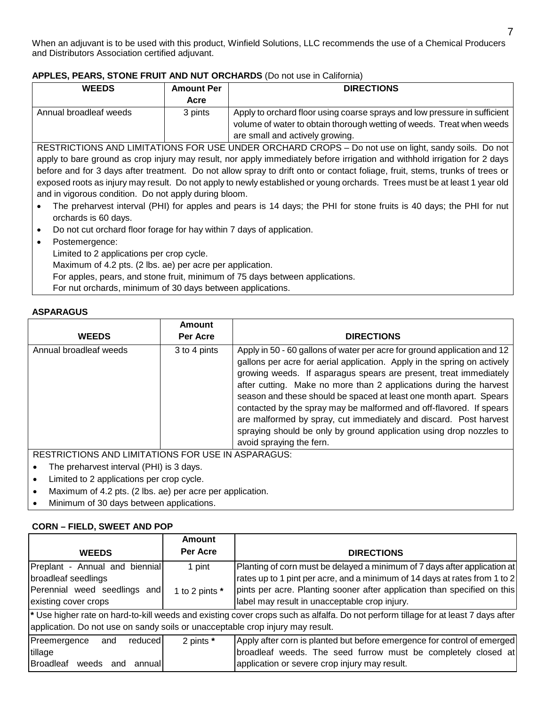When an adjuvant is to be used with this product, Winfield Solutions, LLC recommends the use of a Chemical Producers and Distributors Association certified adjuvant.

#### **APPLES, PEARS, STONE FRUIT AND NUT ORCHARDS** (Do not use in California)

| <b>WEEDS</b>                                                                                                                 | <b>Amount Per</b>                                                            | <b>DIRECTIONS</b>                                                                                                          |  |
|------------------------------------------------------------------------------------------------------------------------------|------------------------------------------------------------------------------|----------------------------------------------------------------------------------------------------------------------------|--|
|                                                                                                                              | Acre                                                                         |                                                                                                                            |  |
| Annual broadleaf weeds                                                                                                       | 3 pints                                                                      | Apply to orchard floor using coarse sprays and low pressure in sufficient                                                  |  |
|                                                                                                                              |                                                                              | volume of water to obtain thorough wetting of weeds. Treat when weeds                                                      |  |
|                                                                                                                              |                                                                              | are small and actively growing.                                                                                            |  |
|                                                                                                                              |                                                                              | RESTRICTIONS AND LIMITATIONS FOR USE UNDER ORCHARD CROPS - Do not use on light, sandy soils. Do not                        |  |
|                                                                                                                              |                                                                              | apply to bare ground as crop injury may result, nor apply immediately before irrigation and withhold irrigation for 2 days |  |
| before and for 3 days after treatment. Do not allow spray to drift onto or contact foliage, fruit, stems, trunks of trees or |                                                                              |                                                                                                                            |  |
| exposed roots as injury may result. Do not apply to newly established or young orchards. Trees must be at least 1 year old   |                                                                              |                                                                                                                            |  |
| and in vigorous condition. Do not apply during bloom.                                                                        |                                                                              |                                                                                                                            |  |
| The preharvest interval (PHI) for apples and pears is 14 days; the PHI for stone fruits is 40 days; the PHI for nut          |                                                                              |                                                                                                                            |  |
| orchards is 60 days.                                                                                                         |                                                                              |                                                                                                                            |  |
| Do not cut orchard floor forage for hay within 7 days of application.                                                        |                                                                              |                                                                                                                            |  |
| Postemergence:                                                                                                               |                                                                              |                                                                                                                            |  |
|                                                                                                                              | Limited to 2 applications per crop cycle.                                    |                                                                                                                            |  |
| Maximum of 4.2 pts. (2 lbs. ae) per acre per application.                                                                    |                                                                              |                                                                                                                            |  |
|                                                                                                                              | For apples, pears, and stone fruit, minimum of 75 days between applications. |                                                                                                                            |  |

For nut orchards, minimum of 30 days between applications.

#### **ASPARAGUS**

|                                                     | Amount       |                                                                                                                                                                                                                                                                                                                                                                                                                                                                                                                                                                                                                      |
|-----------------------------------------------------|--------------|----------------------------------------------------------------------------------------------------------------------------------------------------------------------------------------------------------------------------------------------------------------------------------------------------------------------------------------------------------------------------------------------------------------------------------------------------------------------------------------------------------------------------------------------------------------------------------------------------------------------|
| <b>WEEDS</b>                                        | Per Acre     | <b>DIRECTIONS</b>                                                                                                                                                                                                                                                                                                                                                                                                                                                                                                                                                                                                    |
| Annual broadleaf weeds                              | 3 to 4 pints | Apply in 50 - 60 gallons of water per acre for ground application and 12<br>gallons per acre for aerial application. Apply in the spring on actively<br>growing weeds. If asparagus spears are present, treat immediately<br>after cutting. Make no more than 2 applications during the harvest<br>season and these should be spaced at least one month apart. Spears<br>contacted by the spray may be malformed and off-flavored. If spears<br>are malformed by spray, cut immediately and discard. Post harvest<br>spraying should be only by ground application using drop nozzles to<br>avoid spraying the fern. |
| DECTRICTIONS AND LIMITATIONS FOR HISE IN ASDARAGUS. |              |                                                                                                                                                                                                                                                                                                                                                                                                                                                                                                                                                                                                                      |

RESTRICTIONS AND LIMITATIONS FOR USE IN ASPARAGUS:

- The preharvest interval (PHI) is 3 days.
- Limited to 2 applications per crop cycle.
- Maximum of 4.2 pts. (2 lbs. ae) per acre per application.
- Minimum of 30 days between applications.

#### **CORN – FIELD, SWEET AND POP**

|                                                                                | <b>Amount</b>  |                                                                                                                                    |
|--------------------------------------------------------------------------------|----------------|------------------------------------------------------------------------------------------------------------------------------------|
| <b>WEEDS</b>                                                                   | Per Acre       | <b>DIRECTIONS</b>                                                                                                                  |
| Preplant - Annual and biennial                                                 | 1 pint         | Planting of corn must be delayed a minimum of 7 days after application at                                                          |
| broadleaf seedlings                                                            |                | rates up to 1 pint per acre, and a minimum of 14 days at rates from 1 to 2                                                         |
| Perennial weed seedlings and                                                   | 1 to 2 pints * | pints per acre. Planting sooner after application than specified on this                                                           |
| existing cover crops                                                           |                | label may result in unacceptable crop injury.                                                                                      |
|                                                                                |                | * Use higher rate on hard-to-kill weeds and existing cover crops such as alfalfa. Do not perform tillage for at least 7 days after |
| application. Do not use on sandy soils or unacceptable crop injury may result. |                |                                                                                                                                    |
| Preemergence<br>reduced<br>and                                                 | 2 pints *      | Apply after corn is planted but before emergence for control of emerged                                                            |
| tillage                                                                        |                | broadleaf weeds. The seed furrow must be completely closed at                                                                      |
| Broadleaf weeds<br>annuall<br>and                                              |                | application or severe crop injury may result.                                                                                      |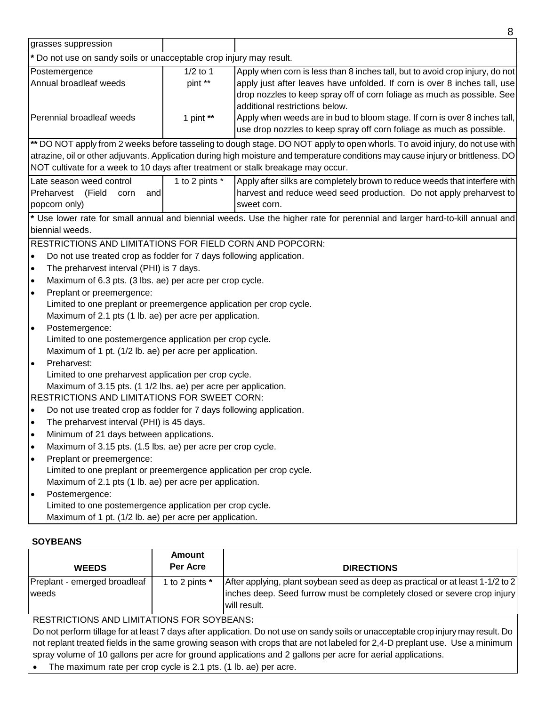|                                                                                                                                                                                                                                                                                                                                                                                                                                                                                                                                                                                                                                                                                                                                                                                                           |                       | 8                                                                                                                                                                                                                                                                      |
|-----------------------------------------------------------------------------------------------------------------------------------------------------------------------------------------------------------------------------------------------------------------------------------------------------------------------------------------------------------------------------------------------------------------------------------------------------------------------------------------------------------------------------------------------------------------------------------------------------------------------------------------------------------------------------------------------------------------------------------------------------------------------------------------------------------|-----------------------|------------------------------------------------------------------------------------------------------------------------------------------------------------------------------------------------------------------------------------------------------------------------|
| grasses suppression                                                                                                                                                                                                                                                                                                                                                                                                                                                                                                                                                                                                                                                                                                                                                                                       |                       |                                                                                                                                                                                                                                                                        |
| * Do not use on sandy soils or unacceptable crop injury may result.                                                                                                                                                                                                                                                                                                                                                                                                                                                                                                                                                                                                                                                                                                                                       |                       |                                                                                                                                                                                                                                                                        |
| Postemergence<br>Annual broadleaf weeds                                                                                                                                                                                                                                                                                                                                                                                                                                                                                                                                                                                                                                                                                                                                                                   | $1/2$ to 1<br>pint ** | Apply when corn is less than 8 inches tall, but to avoid crop injury, do not<br>apply just after leaves have unfolded. If corn is over 8 inches tall, use<br>drop nozzles to keep spray off of corn foliage as much as possible. See<br>additional restrictions below. |
| Perennial broadleaf weeds                                                                                                                                                                                                                                                                                                                                                                                                                                                                                                                                                                                                                                                                                                                                                                                 | 1 pint $**$           | Apply when weeds are in bud to bloom stage. If corn is over 8 inches tall,<br>use drop nozzles to keep spray off corn foliage as much as possible.                                                                                                                     |
| NOT cultivate for a week to 10 days after treatment or stalk breakage may occur.                                                                                                                                                                                                                                                                                                                                                                                                                                                                                                                                                                                                                                                                                                                          |                       | ** DO NOT apply from 2 weeks before tasseling to dough stage. DO NOT apply to open whorls. To avoid injury, do not use with<br>atrazine, oil or other adjuvants. Application during high moisture and temperature conditions may cause injury or brittleness. DO       |
| Late season weed control<br>Preharvest<br>(Field<br>corn<br>and<br>popcorn only)                                                                                                                                                                                                                                                                                                                                                                                                                                                                                                                                                                                                                                                                                                                          | 1 to 2 pints *        | Apply after silks are completely brown to reduce weeds that interfere with<br>harvest and reduce weed seed production. Do not apply preharvest to<br>sweet corn.                                                                                                       |
| biennial weeds.                                                                                                                                                                                                                                                                                                                                                                                                                                                                                                                                                                                                                                                                                                                                                                                           |                       | * Use lower rate for small annual and biennial weeds. Use the higher rate for perennial and larger hard-to-kill annual and                                                                                                                                             |
| RESTRICTIONS AND LIMITATIONS FOR FIELD CORN AND POPCORN:<br>Do not use treated crop as fodder for 7 days following application.<br>$\bullet$<br>The preharvest interval (PHI) is 7 days.<br>$\bullet$<br>Maximum of 6.3 pts. (3 lbs. ae) per acre per crop cycle.<br>$\bullet$<br>Preplant or preemergence:<br>$\bullet$<br>Limited to one preplant or preemergence application per crop cycle.<br>Maximum of 2.1 pts (1 lb. ae) per acre per application.<br>Postemergence:<br>lo<br>Limited to one postemergence application per crop cycle.<br>Maximum of 1 pt. (1/2 lb. ae) per acre per application.<br>Preharvest:<br>I۰<br>Limited to one preharvest application per crop cycle.<br>Maximum of 3.15 pts. (1 1/2 lbs. ae) per acre per application.<br>RESTRICTIONS AND LIMITATIONS FOR SWEET CORN: |                       |                                                                                                                                                                                                                                                                        |
| Do not use treated crop as fodder for 7 days following application.<br>$\bullet$<br>The preharvest interval (PHI) is 45 days.<br>$\bullet$<br>Minimum of 21 days between applications.<br>$\bullet$<br>Maximum of 3.15 pts. (1.5 lbs. ae) per acre per crop cycle.<br>$\bullet$<br>Preplant or preemergence:<br>$\bullet$<br>Limited to one preplant or preemergence application per crop cycle.<br>Maximum of 2.1 pts (1 lb. ae) per acre per application.<br>Postemergence:<br>$\bullet$<br>Limited to one postemergence application per crop cycle.<br>Maximum of 1 pt. (1/2 lb. ae) per acre per application.                                                                                                                                                                                         |                       |                                                                                                                                                                                                                                                                        |

#### **SOYBEANS**

|                                                                                                                                    | Amount         |                                                                                |
|------------------------------------------------------------------------------------------------------------------------------------|----------------|--------------------------------------------------------------------------------|
| <b>WEEDS</b>                                                                                                                       | Per Acre       | <b>DIRECTIONS</b>                                                              |
| Preplant - emerged broadleaf                                                                                                       | 1 to 2 pints * | After applying, plant soybean seed as deep as practical or at least 1-1/2 to 2 |
| weeds                                                                                                                              |                | inches deep. Seed furrow must be completely closed or severe crop injury       |
|                                                                                                                                    |                | will result.                                                                   |
| <b>RESTRICTIONS AND LIMITATIONS FOR SOYBEANS:</b>                                                                                  |                |                                                                                |
| Do not perform tillage for at least 7 days after application. Do not use on sandy soils or unacceptable crop injury may result. Do |                |                                                                                |
| not replant treated fields in the same growing season with crops that are not labeled for 2,4-D preplant use. Use a minimum        |                |                                                                                |
| spray volume of 10 gallons per acre for ground applications and 2 gallons per acre for aerial applications.                        |                |                                                                                |
| The maximum rate per crop cycle is 2.1 pts. (1 lb. ae) per acre.                                                                   |                |                                                                                |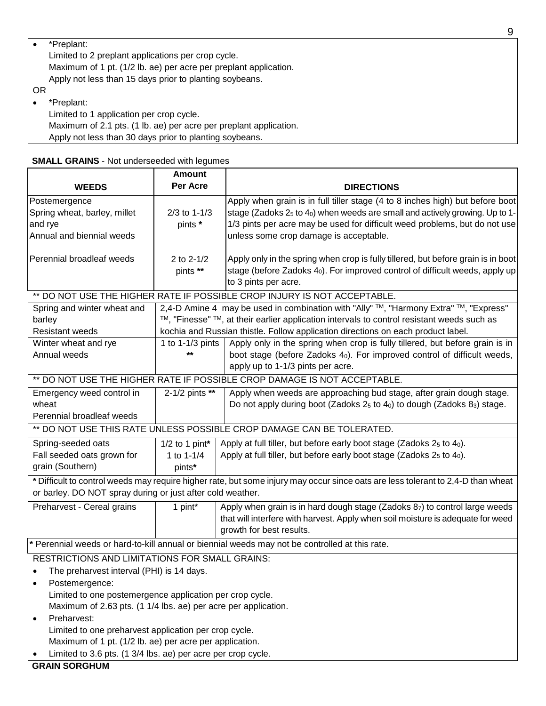| $\bullet$ | *Preplant:                                                       |
|-----------|------------------------------------------------------------------|
|           | Limited to 2 preplant applications per crop cycle.               |
|           | Maximum of 1 pt. (1/2 lb. ae) per acre per preplant application. |
|           | Apply not less than 15 days prior to planting soybeans.          |
| ΟR        |                                                                  |

• \*Preplant:

Limited to 1 application per crop cycle. Maximum of 2.1 pts. (1 lb. ae) per acre per preplant application. Apply not less than 30 days prior to planting soybeans.

| <b>SMALL GRAINS - Not underseeded with legumes</b> |  |  |  |  |
|----------------------------------------------------|--|--|--|--|
|----------------------------------------------------|--|--|--|--|

|                                                                                                | <b>Amount</b>             |                                                                                                                                                                                                                                                                                                               |  |
|------------------------------------------------------------------------------------------------|---------------------------|---------------------------------------------------------------------------------------------------------------------------------------------------------------------------------------------------------------------------------------------------------------------------------------------------------------|--|
| <b>WEEDS</b>                                                                                   | Per Acre                  | <b>DIRECTIONS</b>                                                                                                                                                                                                                                                                                             |  |
| Postemergence<br>Spring wheat, barley, millet<br>and rye<br>Annual and biennial weeds          | $2/3$ to 1-1/3<br>pints * | Apply when grain is in full tiller stage (4 to 8 inches high) but before boot<br>stage (Zadoks 2 <sub>5</sub> to 4 <sub>0</sub> ) when weeds are small and actively growing. Up to 1-<br>1/3 pints per acre may be used for difficult weed problems, but do not use<br>unless some crop damage is acceptable. |  |
| Perennial broadleaf weeds                                                                      | 2 to 2-1/2<br>pints **    | Apply only in the spring when crop is fully tillered, but before grain is in boot<br>stage (before Zadoks 4 <sub>0</sub> ). For improved control of difficult weeds, apply up<br>to 3 pints per acre.                                                                                                         |  |
|                                                                                                |                           | ** DO NOT USE THE HIGHER RATE IF POSSIBLE CROP INJURY IS NOT ACCEPTABLE.                                                                                                                                                                                                                                      |  |
| Spring and winter wheat and                                                                    |                           | 2,4-D Amine 4 may be used in combination with "Ally" ™, "Harmony Extra" ™, "Express"                                                                                                                                                                                                                          |  |
| barley                                                                                         |                           | ™, "Finesse" ™, at their earlier application intervals to control resistant weeds such as                                                                                                                                                                                                                     |  |
| Resistant weeds                                                                                |                           | kochia and Russian thistle. Follow application directions on each product label.                                                                                                                                                                                                                              |  |
| Winter wheat and rye<br>Annual weeds                                                           | 1 to $1-1/3$ pints<br>**  | Apply only in the spring when crop is fully tillered, but before grain is in<br>boot stage (before Zadoks 4 <sub>0</sub> ). For improved control of difficult weeds,<br>apply up to 1-1/3 pints per acre.                                                                                                     |  |
| ** DO NOT USE THE HIGHER RATE IF POSSIBLE CROP DAMAGE IS NOT ACCEPTABLE.                       |                           |                                                                                                                                                                                                                                                                                                               |  |
| Emergency weed control in<br>wheat<br>Perennial broadleaf weeds                                | 2-1/2 pints **            | Apply when weeds are approaching bud stage, after grain dough stage.<br>Do not apply during boot (Zadoks $2_5$ to $4_0$ ) to dough (Zadoks $8_3$ ) stage.                                                                                                                                                     |  |
|                                                                                                |                           | ** DO NOT USE THIS RATE UNLESS POSSIBLE CROP DAMAGE CAN BE TOLERATED.                                                                                                                                                                                                                                         |  |
| Spring-seeded oats                                                                             | $1/2$ to 1 pint*          | Apply at full tiller, but before early boot stage (Zadoks $25$ to $40$ ).                                                                                                                                                                                                                                     |  |
| Fall seeded oats grown for<br>grain (Southern)                                                 | 1 to $1 - 1/4$<br>pints*  | Apply at full tiller, but before early boot stage (Zadoks $25$ to $40$ ).                                                                                                                                                                                                                                     |  |
| or barley. DO NOT spray during or just after cold weather.                                     |                           | * Difficult to control weeds may require higher rate, but some injury may occur since oats are less tolerant to 2,4-D than wheat                                                                                                                                                                              |  |
| Preharvest - Cereal grains                                                                     | 1 pint*                   | Apply when grain is in hard dough stage (Zadoks 87) to control large weeds<br>that will interfere with harvest. Apply when soil moisture is adequate for weed<br>growth for best results.                                                                                                                     |  |
| * Perennial weeds or hard-to-kill annual or biennial weeds may not be controlled at this rate. |                           |                                                                                                                                                                                                                                                                                                               |  |
| RESTRICTIONS AND LIMITATIONS FOR SMALL GRAINS:                                                 |                           |                                                                                                                                                                                                                                                                                                               |  |
| The preharvest interval (PHI) is 14 days.                                                      |                           |                                                                                                                                                                                                                                                                                                               |  |
| Postemergence:                                                                                 |                           |                                                                                                                                                                                                                                                                                                               |  |
| Limited to one postemergence application per crop cycle.                                       |                           |                                                                                                                                                                                                                                                                                                               |  |
| Maximum of 2.63 pts. (1 1/4 lbs. ae) per acre per application.                                 |                           |                                                                                                                                                                                                                                                                                                               |  |
| Preharvest:                                                                                    |                           |                                                                                                                                                                                                                                                                                                               |  |
| Limited to one preharvest application per crop cycle.                                          |                           |                                                                                                                                                                                                                                                                                                               |  |
| Maximum of 1 pt. (1/2 lb. ae) per acre per application.                                        |                           |                                                                                                                                                                                                                                                                                                               |  |
| Limited to 3.6 pts. (1 3/4 lbs. ae) per acre per crop cycle.                                   |                           |                                                                                                                                                                                                                                                                                                               |  |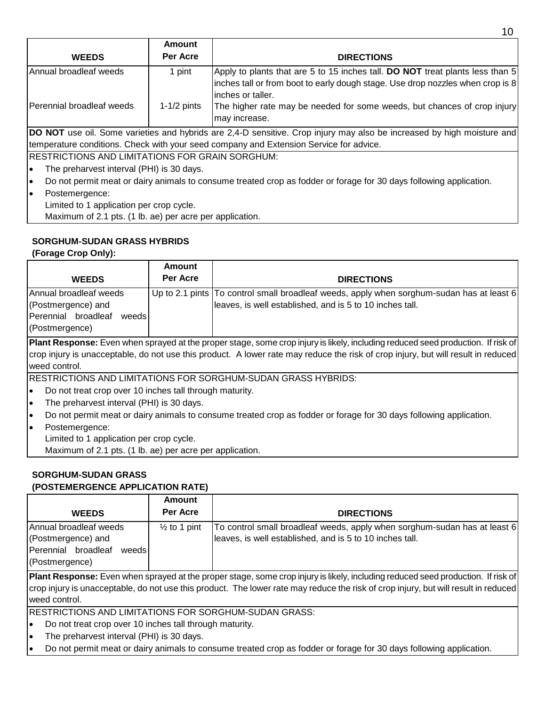|                                                                                                                          | Amount        |                                                                                                                                                                                       |
|--------------------------------------------------------------------------------------------------------------------------|---------------|---------------------------------------------------------------------------------------------------------------------------------------------------------------------------------------|
| <b>WEEDS</b>                                                                                                             | Per Acre      | <b>DIRECTIONS</b>                                                                                                                                                                     |
| Annual broadleaf weeds                                                                                                   | 1 pint        | Apply to plants that are 5 to 15 inches tall. DO NOT treat plants less than 5<br>inches tall or from boot to early dough stage. Use drop nozzles when crop is 8<br>linches or taller. |
| Perennial broadleaf weeds                                                                                                | $1-1/2$ pints | The higher rate may be needed for some weeds, but chances of crop injury<br>may increase.                                                                                             |
|                                                                                                                          |               | DO NOT use oil. Some varieties and hybrids are 2,4-D sensitive. Crop injury may also be increased by high moisture and                                                                |
|                                                                                                                          |               | temperature conditions. Check with your seed company and Extension Service for advice.                                                                                                |
| IRESTRICTIONS AND LIMITATIONS FOR GRAIN SORGHUM:                                                                         |               |                                                                                                                                                                                       |
| The preharvest interval (PHI) is 30 days.<br>le                                                                          |               |                                                                                                                                                                                       |
| Do not permit meat or dairy animals to consume treated crop as fodder or forage for 30 days following application.<br>l• |               |                                                                                                                                                                                       |
| Postemergence:<br>I۰                                                                                                     |               |                                                                                                                                                                                       |
| Limited to 1 application per crop cycle.                                                                                 |               |                                                                                                                                                                                       |

Maximum of 2.1 pts. (1 lb. ae) per acre per application.

# **SORGHUM-SUDAN GRASS HYBRIDS**

**(Forage Crop Only):**

| <b>WEEDS</b>                                                                                   | Amount<br>Per Acre | <b>DIRECTIONS</b>                                                                                                                                     |
|------------------------------------------------------------------------------------------------|--------------------|-------------------------------------------------------------------------------------------------------------------------------------------------------|
| Annual broadleaf weeds<br>(Postmergence) and<br>Perennial broadleaf<br>weeds<br>(Postmergence) |                    | Up to 2.1 pints To control small broadleaf weeds, apply when sorghum-sudan has at least 6<br>leaves, is well established, and is 5 to 10 inches tall. |
|                                                                                                |                    | .                                                                                                                                                     |

**Plant Response:** Even when sprayed at the proper stage, some crop injury is likely, including reduced seed production. If risk of crop injury is unacceptable, do not use this product. A lower rate may reduce the risk of crop injury, but will result in reduced weed control.

RESTRICTIONS AND LIMITATIONS FOR SORGHUM-SUDAN GRASS HYBRIDS:

- Do not treat crop over 10 inches tall through maturity.
- The preharvest interval (PHI) is 30 days.
- Do not permit meat or dairy animals to consume treated crop as fodder or forage for 30 days following application.
- Postemergence: Limited to 1 application per crop cycle. Maximum of 2.1 pts. (1 lb. ae) per acre per application.

# **SORGHUM-SUDAN GRASS**

# **(POSTEMERGENCE APPLICATION RATE)**

|                                                                                                 | Amount                  |                                                                                                                                       |
|-------------------------------------------------------------------------------------------------|-------------------------|---------------------------------------------------------------------------------------------------------------------------------------|
| <b>WEEDS</b>                                                                                    | Per Acre                | <b>DIRECTIONS</b>                                                                                                                     |
| Annual broadleaf weeds<br>(Postmergence) and<br>Perennial broadleaf<br>weedsl<br>(Postmergence) | $\frac{1}{2}$ to 1 pint | To control small broadleaf weeds, apply when sorghum-sudan has at least 6<br>leaves, is well established, and is 5 to 10 inches tall. |

**Plant Response:** Even when sprayed at the proper stage, some crop injury is likely, including reduced seed production. If risk of crop injury is unacceptable, do not use this product. The lower rate may reduce the risk of crop injury, but will result in reduced weed control.

RESTRICTIONS AND LIMITATIONS FOR SORGHUM-SUDAN GRASS:

- Do not treat crop over 10 inches tall through maturity.
- The preharvest interval (PHI) is 30 days.
- Do not permit meat or dairy animals to consume treated crop as fodder or forage for 30 days following application.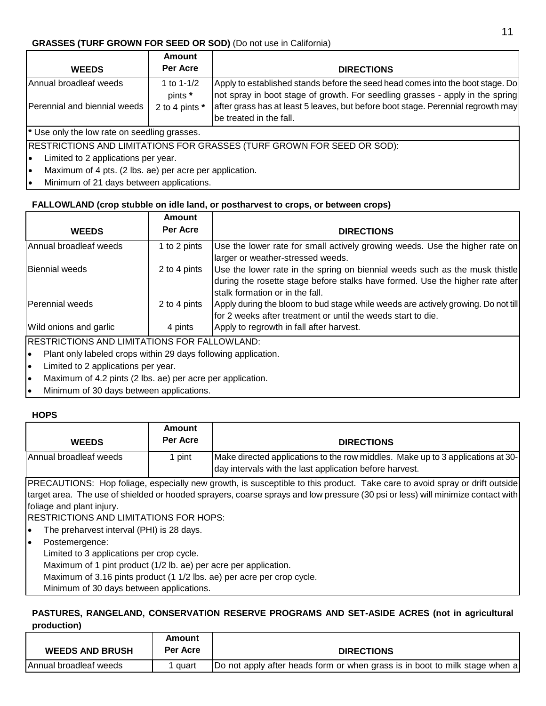### **GRASSES (TURF GROWN FOR SEED OR SOD)** (Do not use in California)

|                                                               | <b>Amount</b>             |                                                                                                                                                                 |
|---------------------------------------------------------------|---------------------------|-----------------------------------------------------------------------------------------------------------------------------------------------------------------|
| <b>WEEDS</b>                                                  | Per Acre                  | <b>DIRECTIONS</b>                                                                                                                                               |
| Annual broadleaf weeds                                        | 1 to $1 - 1/2$<br>pints * | Apply to established stands before the seed head comes into the boot stage. Do<br>not spray in boot stage of growth. For seedling grasses - apply in the spring |
| Perennial and biennial weeds                                  | 2 to 4 pints *            | after grass has at least 5 leaves, but before boot stage. Perennial regrowth may<br>be treated in the fall.                                                     |
| * Use only the low rate on seedling grasses.                  |                           |                                                                                                                                                                 |
|                                                               |                           | RESTRICTIONS AND LIMITATIONS FOR GRASSES (TURF GROWN FOR SEED OR SOD):                                                                                          |
| Limited to 2 applications per year.<br>$\bullet$              |                           |                                                                                                                                                                 |
| Maximum of 4 pts. (2 lbs. ae) per acre per application.<br>le |                           |                                                                                                                                                                 |
|                                                               |                           |                                                                                                                                                                 |

• Minimum of 21 days between applications.

# **FALLOWLAND (crop stubble on idle land, or postharvest to crops, or between crops)**

|                                                     | <b>Amount</b> |                                                                                                                                                                                                 |
|-----------------------------------------------------|---------------|-------------------------------------------------------------------------------------------------------------------------------------------------------------------------------------------------|
| <b>WEEDS</b>                                        | Per Acre      | <b>DIRECTIONS</b>                                                                                                                                                                               |
| Annual broadleaf weeds                              | 1 to 2 pints  | Use the lower rate for small actively growing weeds. Use the higher rate on<br>larger or weather-stressed weeds.                                                                                |
| Biennial weeds                                      | 2 to 4 pints  | Use the lower rate in the spring on biennial weeds such as the musk thistle<br>during the rosette stage before stalks have formed. Use the higher rate after<br>stalk formation or in the fall. |
| Perennial weeds                                     | 2 to 4 pints  | Apply during the bloom to bud stage while weeds are actively growing. Do not till<br>for 2 weeks after treatment or until the weeds start to die.                                               |
| Wild onions and garlic                              | 4 pints       | Apply to regrowth in fall after harvest.                                                                                                                                                        |
| <b>RESTRICTIONS AND LIMITATIONS FOR FALLOWLAND:</b> |               |                                                                                                                                                                                                 |

- Plant only labeled crops within 29 days following application.
- Limited to 2 applications per year.
- Maximum of 4.2 pints (2 lbs. ae) per acre per application.
- Minimum of 30 days between applications.

# **HOPS**

| <b>WEEDS</b>           | <b>Amount</b><br>Per Acre | <b>DIRECTIONS</b>                                                                                                                          |
|------------------------|---------------------------|--------------------------------------------------------------------------------------------------------------------------------------------|
| Annual broadleaf weeds | pint                      | Make directed applications to the row middles. Make up to 3 applications at 30-<br>day intervals with the last application before harvest. |

PRECAUTIONS: Hop foliage, especially new growth, is susceptible to this product. Take care to avoid spray or drift outside target area. The use of shielded or hooded sprayers, coarse sprays and low pressure (30 psi or less) will minimize contact with foliage and plant injury.

RESTRICTIONS AND LIMITATIONS FOR HOPS:

• The preharvest interval (PHI) is 28 days.

• Postemergence:

Limited to 3 applications per crop cycle.

Maximum of 1 pint product (1/2 lb. ae) per acre per application.

Maximum of 3.16 pints product (1 1/2 lbs. ae) per acre per crop cycle.

Minimum of 30 days between applications.

# **PASTURES, RANGELAND, CONSERVATION RESERVE PROGRAMS AND SET-ASIDE ACRES (not in agricultural production)**

|                         | Amount          |                                                                             |
|-------------------------|-----------------|-----------------------------------------------------------------------------|
| <b>WEEDS AND BRUSH</b>  | <b>Per Acre</b> | <b>DIRECTIONS</b>                                                           |
| IAnnual broadleaf weeds | quart           | Do not apply after heads form or when grass is in boot to milk stage when a |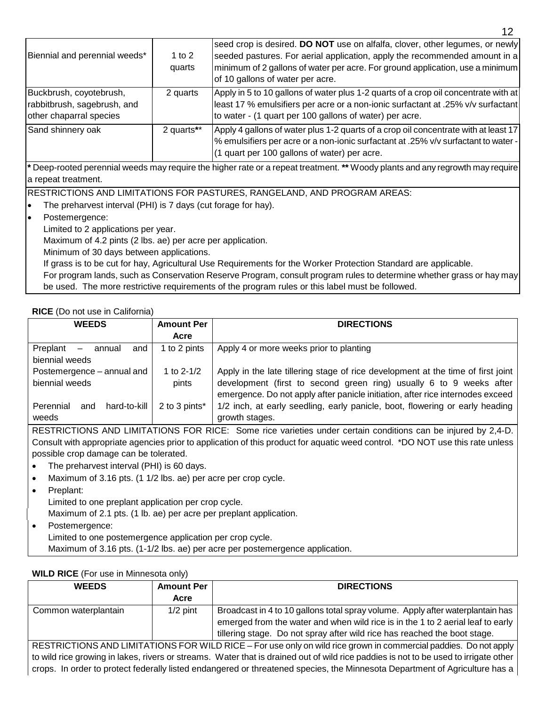| Biennial and perennial weeds*                                                     | 1 to 2<br>quarts | seed crop is desired. DO NOT use on alfalfa, clover, other legumes, or newly<br>seeded pastures. For aerial application, apply the recommended amount in a<br>minimum of 2 gallons of water per acre. For ground application, use a minimum<br>of 10 gallons of water per acre. |
|-----------------------------------------------------------------------------------|------------------|---------------------------------------------------------------------------------------------------------------------------------------------------------------------------------------------------------------------------------------------------------------------------------|
| Buckbrush, coyotebrush,<br>rabbitbrush, sagebrush, and<br>other chaparral species | 2 quarts         | Apply in 5 to 10 gallons of water plus 1-2 quarts of a crop oil concentrate with at<br>least 17 % emulsifiers per acre or a non-ionic surfactant at .25% v/v surfactant<br>to water - (1 quart per 100 gallons of water) per acre.                                              |
| Sand shinnery oak                                                                 | 2 quarts**       | Apply 4 gallons of water plus 1-2 quarts of a crop oil concentrate with at least 17<br>% emulsifiers per acre or a non-ionic surfactant at .25% v/v surfactant to water -<br>(1 quart per 100 gallons of water) per acre.                                                       |

**\*** Deep-rooted perennial weeds may require the higher rate or a repeat treatment. **\*\*** Woody plants and any regrowth may require a repeat treatment.

RESTRICTIONS AND LIMITATIONS FOR PASTURES, RANGELAND, AND PROGRAM AREAS:

- The preharvest interval (PHI) is 7 days (cut forage for hay).
- Postemergence:

Limited to 2 applications per year.

Maximum of 4.2 pints (2 lbs. ae) per acre per application.

Minimum of 30 days between applications.

If grass is to be cut for hay, Agricultural Use Requirements for the Worker Protection Standard are applicable.

For program lands, such as Conservation Reserve Program, consult program rules to determine whether grass or hay may be used. The more restrictive requirements of the program rules or this label must be followed.

#### **RICE** (Do not use in California)

| <b>WEEDS</b>                                          | <b>Amount Per</b> | <b>DIRECTIONS</b>                                                                |
|-------------------------------------------------------|-------------------|----------------------------------------------------------------------------------|
|                                                       | Acre              |                                                                                  |
| Preplant<br>and<br>annual<br>$\overline{\phantom{m}}$ | 1 to 2 pints      | Apply 4 or more weeks prior to planting                                          |
| biennial weeds                                        |                   |                                                                                  |
| Postemergence - annual and                            | 1 to $2 - 1/2$    | Apply in the late tillering stage of rice development at the time of first joint |
| biennial weeds                                        | pints             | development (first to second green ring) usually 6 to 9 weeks after              |
|                                                       |                   | emergence. Do not apply after panicle initiation, after rice internodes exceed   |
| hard-to-kill<br>Perennial<br>and                      | 2 to 3 pints*     | 1/2 inch, at early seedling, early panicle, boot, flowering or early heading     |
| weeds                                                 |                   | growth stages.                                                                   |

RESTRICTIONS AND LIMITATIONS FOR RICE: Some rice varieties under certain conditions can be injured by 2,4-D. Consult with appropriate agencies prior to application of this product for aquatic weed control. \*DO NOT use this rate unless possible crop damage can be tolerated.

- The preharvest interval (PHI) is 60 days.
- Maximum of 3.16 pts. (1 1/2 lbs. ae) per acre per crop cycle.
- Preplant:

Limited to one preplant application per crop cycle.

Maximum of 2.1 pts. (1 lb. ae) per acre per preplant application.

• Postemergence: Limited to one postemergence application per crop cycle. Maximum of 3.16 pts. (1-1/2 lbs. ae) per acre per postemergence application.

#### **WILD RICE** (For use in Minnesota only)

| <b>WEEDS</b>                                                                                                           | <b>Amount Per</b> | <b>DIRECTIONS</b>                                                                                                                                                                                                                              |
|------------------------------------------------------------------------------------------------------------------------|-------------------|------------------------------------------------------------------------------------------------------------------------------------------------------------------------------------------------------------------------------------------------|
|                                                                                                                        | Acre              |                                                                                                                                                                                                                                                |
| Common waterplantain                                                                                                   | $1/2$ pint        | Broadcast in 4 to 10 gallons total spray volume. Apply after waterplantain has<br>emerged from the water and when wild rice is in the 1 to 2 aerial leaf to early<br>tillering stage. Do not spray after wild rice has reached the boot stage. |
| <b>DECTRICTIONS AND LIMITATIONS EOR WILD RICE.</b> For use only an wild rise group in commercial poddice. Do not apply |                   |                                                                                                                                                                                                                                                |

ND LIMITATIONS FOR WILD RICE – For use only on wild rice grown in commercial paddies. Do not apply to wild rice growing in lakes, rivers or streams. Water that is drained out of wild rice paddies is not to be used to irrigate other crops. In order to protect federally listed endangered or threatened species, the Minnesota Department of Agriculture has a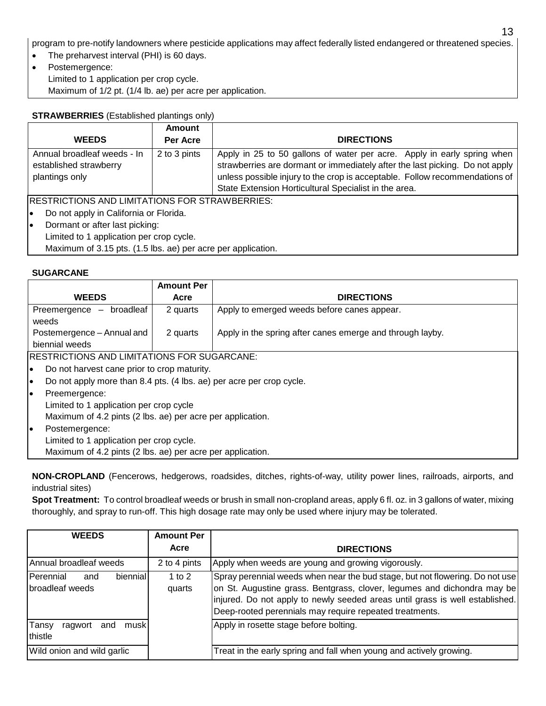program to pre-notify landowners where pesticide applications may affect federally listed endangered or threatened species.

13

- The preharvest interval (PHI) is 60 days.
- Postemergence: Limited to 1 application per crop cycle. Maximum of 1/2 pt. (1/4 lb. ae) per acre per application.

# **STRAWBERRIES** (Established plantings only)

|                                                                         | Amount       |                                                                                                                                                                                                                                                                                                 |
|-------------------------------------------------------------------------|--------------|-------------------------------------------------------------------------------------------------------------------------------------------------------------------------------------------------------------------------------------------------------------------------------------------------|
| <b>WEEDS</b>                                                            | Per Acre     | <b>DIRECTIONS</b>                                                                                                                                                                                                                                                                               |
| Annual broadleaf weeds - In<br>established strawberry<br>plantings only | 2 to 3 pints | Apply in 25 to 50 gallons of water per acre. Apply in early spring when<br>strawberries are dormant or immediately after the last picking. Do not apply<br>unless possible injury to the crop is acceptable. Follow recommendations of<br>State Extension Horticultural Specialist in the area. |
| <b>RESTRICTIONS AND LIMITATIONS FOR STRAWBERRIES:</b>                   |              |                                                                                                                                                                                                                                                                                                 |
| Do not apply in California or Florida.<br>le                            |              |                                                                                                                                                                                                                                                                                                 |
| Dormant or after last picking:<br>I۰                                    |              |                                                                                                                                                                                                                                                                                                 |
| Limited to 1 application per crop cycle.                                |              |                                                                                                                                                                                                                                                                                                 |
| Maximum of 3.15 pts. (1.5 lbs. ae) per acre per application.            |              |                                                                                                                                                                                                                                                                                                 |

#### **SUGARCANE**

|    |                                                            | <b>Amount Per</b>                                                    |                                                           |
|----|------------------------------------------------------------|----------------------------------------------------------------------|-----------------------------------------------------------|
|    | <b>WEEDS</b>                                               | Acre                                                                 | <b>DIRECTIONS</b>                                         |
|    | Preemergence - broadleaf                                   | 2 quarts                                                             | Apply to emerged weeds before canes appear.               |
|    | weeds                                                      |                                                                      |                                                           |
|    | Postemergence - Annual and                                 | 2 quarts                                                             | Apply in the spring after canes emerge and through layby. |
|    | biennial weeds                                             |                                                                      |                                                           |
|    | <b>RESTRICTIONS AND LIMITATIONS FOR SUGARCANE:</b>         |                                                                      |                                                           |
| le | Do not harvest cane prior to crop maturity.                |                                                                      |                                                           |
| I۰ |                                                            | Do not apply more than 8.4 pts. (4 lbs. ae) per acre per crop cycle. |                                                           |
| I۰ | Preemergence:                                              |                                                                      |                                                           |
|    | Limited to 1 application per crop cycle                    |                                                                      |                                                           |
|    | Maximum of 4.2 pints (2 lbs. ae) per acre per application. |                                                                      |                                                           |
| lo | Postemergence:                                             |                                                                      |                                                           |
|    | Limited to 1 application per crop cycle.                   |                                                                      |                                                           |
|    | Maximum of 4.2 pints (2 lbs. ae) per acre per application. |                                                                      |                                                           |

**NON-CROPLAND** (Fencerows, hedgerows, roadsides, ditches, rights-of-way, utility power lines, railroads, airports, and industrial sites)

**Spot Treatment:** To control broadleaf weeds or brush in small non-cropland areas, apply 6 fl. oz. in 3 gallons of water, mixing thoroughly, and spray to run-off. This high dosage rate may only be used where injury may be tolerated.

| <b>WEEDS</b>                                    | <b>Amount Per</b>  |                                                                                                                                                                                                                                                                                                    |
|-------------------------------------------------|--------------------|----------------------------------------------------------------------------------------------------------------------------------------------------------------------------------------------------------------------------------------------------------------------------------------------------|
|                                                 | Acre               | <b>DIRECTIONS</b>                                                                                                                                                                                                                                                                                  |
| Annual broadleaf weeds                          | 2 to 4 pints       | Apply when weeds are young and growing vigorously.                                                                                                                                                                                                                                                 |
| Perennial<br>biennial<br>and<br>broadleaf weeds | 1 to $2$<br>quarts | Spray perennial weeds when near the bud stage, but not flowering. Do not use<br>on St. Augustine grass. Bentgrass, clover, legumes and dichondra may be<br>injured. Do not apply to newly seeded areas until grass is well established.<br>Deep-rooted perennials may require repeated treatments. |
| Tansy<br>ragwort<br>and<br>musk<br>thistle      |                    | Apply in rosette stage before bolting.                                                                                                                                                                                                                                                             |
| Wild onion and wild garlic                      |                    | Treat in the early spring and fall when young and actively growing.                                                                                                                                                                                                                                |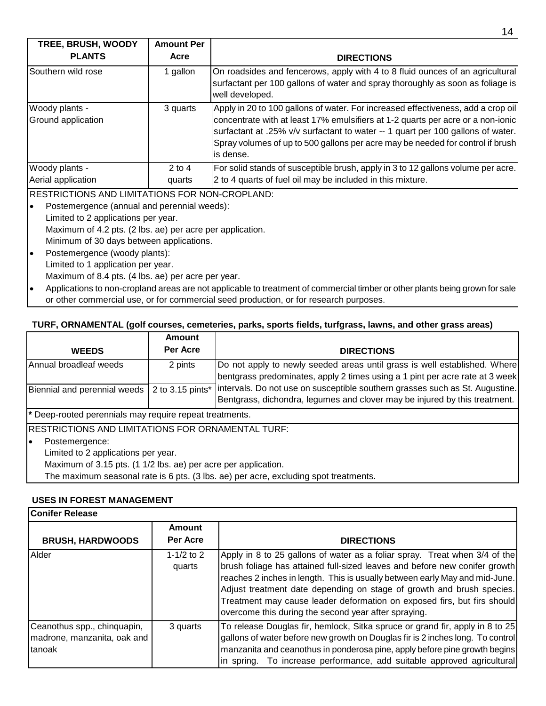| <b>TREE, BRUSH, WOODY</b>                             | <b>Amount Per</b>  |                                                                                                                                                                                                                                                                                                                                                        |
|-------------------------------------------------------|--------------------|--------------------------------------------------------------------------------------------------------------------------------------------------------------------------------------------------------------------------------------------------------------------------------------------------------------------------------------------------------|
| <b>PLANTS</b>                                         | Acre               | <b>DIRECTIONS</b>                                                                                                                                                                                                                                                                                                                                      |
| Southern wild rose                                    | 1 gallon           | On roadsides and fencerows, apply with 4 to 8 fluid ounces of an agricultural<br>surfactant per 100 gallons of water and spray thoroughly as soon as foliage is<br>well developed.                                                                                                                                                                     |
| Woody plants -<br>Ground application                  | 3 quarts           | Apply in 20 to 100 gallons of water. For increased effectiveness, add a crop oil<br>concentrate with at least 17% emulsifiers at 1-2 quarts per acre or a non-ionic<br>surfactant at .25% v/v surfactant to water -- 1 quart per 100 gallons of water.<br>Spray volumes of up to 500 gallons per acre may be needed for control if brush<br>lis dense. |
| Woody plants -<br>Aerial application                  | $2$ to 4<br>quarts | For solid stands of susceptible brush, apply in 3 to 12 gallons volume per acre.<br>2 to 4 quarts of fuel oil may be included in this mixture.                                                                                                                                                                                                         |
| <b>RESTRICTIONS AND LIMITATIONS FOR NON-CROPLAND:</b> |                    |                                                                                                                                                                                                                                                                                                                                                        |

- Postemergence (annual and perennial weeds): Limited to 2 applications per year. Maximum of 4.2 pts. (2 lbs. ae) per acre per application. Minimum of 30 days between applications.
- Postemergence (woody plants): Limited to 1 application per year. Maximum of 8.4 pts. (4 lbs. ae) per acre per year.
- Applications to non-cropland areas are not applicable to treatment of commercial timber or other plants being grown for sale or other commercial use, or for commercial seed production, or for research purposes.

#### **TURF, ORNAMENTAL (golf courses, cemeteries, parks, sports fields, turfgrass, lawns, and other grass areas)**

| <b>WEEDS</b>                                                   | Amount<br>Per Acre | <b>DIRECTIONS</b>                                                                                                                                          |
|----------------------------------------------------------------|--------------------|------------------------------------------------------------------------------------------------------------------------------------------------------------|
| Annual broadleaf weeds                                         | 2 pints            | Do not apply to newly seeded areas until grass is well established. Where<br>bentgrass predominates, apply 2 times using a 1 pint per acre rate at 3 week  |
| Biennial and perennial weeds                                   | 2 to 3.15 pints*   | Intervals. Do not use on susceptible southern grasses such as St. Augustine.<br>Bentgrass, dichondra, legumes and clover may be injured by this treatment. |
| * Deep-rooted perennials may require repeat treatments.        |                    |                                                                                                                                                            |
| <b>IRESTRICTIONS AND LIMITATIONS FOR ORNAMENTAL TURF:</b>      |                    |                                                                                                                                                            |
| Postemergence:<br>∙                                            |                    |                                                                                                                                                            |
| Limited to 2 applications per year.                            |                    |                                                                                                                                                            |
| Maximum of 3.15 pts. (1 1/2 lbs. ae) per acre per application. |                    |                                                                                                                                                            |
|                                                                |                    | The maximum seasonal rate is 6 pts. (3 lbs. ae) per acre, excluding spot treatments.                                                                       |

# **USES IN FOREST MANAGEMENT**

| lConifer Release                                                     |                           |                                                                                                                                                                                                                                                                                                                                                                                                                                                     |  |
|----------------------------------------------------------------------|---------------------------|-----------------------------------------------------------------------------------------------------------------------------------------------------------------------------------------------------------------------------------------------------------------------------------------------------------------------------------------------------------------------------------------------------------------------------------------------------|--|
| <b>BRUSH, HARDWOODS</b>                                              | <b>Amount</b><br>Per Acre | <b>DIRECTIONS</b>                                                                                                                                                                                                                                                                                                                                                                                                                                   |  |
| Alder                                                                | 1-1/2 to 2<br>quarts      | Apply in 8 to 25 gallons of water as a foliar spray. Treat when 3/4 of the<br>brush foliage has attained full-sized leaves and before new conifer growth<br>reaches 2 inches in length. This is usually between early May and mid-June.<br>Adjust treatment date depending on stage of growth and brush species.<br>Treatment may cause leader deformation on exposed firs, but firs should<br>overcome this during the second year after spraying. |  |
| Ceanothus spp., chinquapin,<br>madrone, manzanita, oak and<br>tanoak | 3 quarts                  | To release Douglas fir, hemlock, Sitka spruce or grand fir, apply in 8 to 25<br>gallons of water before new growth on Douglas fir is 2 inches long. To control<br>manzanita and ceanothus in ponderosa pine, apply before pine growth begins<br>In spring. To increase performance, add suitable approved agricultural                                                                                                                              |  |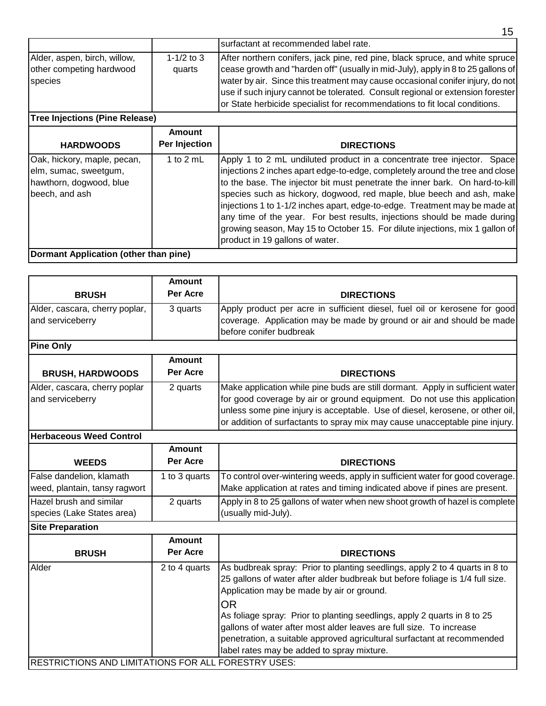|                                                                     |                      | 15                                                                                                                                                                                                                                                                                                                                                                                                                 |
|---------------------------------------------------------------------|----------------------|--------------------------------------------------------------------------------------------------------------------------------------------------------------------------------------------------------------------------------------------------------------------------------------------------------------------------------------------------------------------------------------------------------------------|
|                                                                     |                      | Isurfactant at recommended label rate.                                                                                                                                                                                                                                                                                                                                                                             |
| Alder, aspen, birch, willow,<br>other competing hardwood<br>species | 1-1/2 to 3<br>quarts | After northern conifers, jack pine, red pine, black spruce, and white spruce<br>cease growth and "harden off" (usually in mid-July), apply in 8 to 25 gallons of<br>water by air. Since this treatment may cause occasional conifer injury, do not<br>use if such injury cannot be tolerated. Consult regional or extension forester<br>or State herbicide specialist for recommendations to fit local conditions. |
| <b>Tree Injections (Pine Release)</b>                               |                      |                                                                                                                                                                                                                                                                                                                                                                                                                    |

| <b>HARDWOODS</b>                                                                                  | <b>Amount</b><br>Per Injection | <b>DIRECTIONS</b>                                                                                                                                                                                                                                                                                                                                                                                                                                                                                                                                                                             |
|---------------------------------------------------------------------------------------------------|--------------------------------|-----------------------------------------------------------------------------------------------------------------------------------------------------------------------------------------------------------------------------------------------------------------------------------------------------------------------------------------------------------------------------------------------------------------------------------------------------------------------------------------------------------------------------------------------------------------------------------------------|
| Oak, hickory, maple, pecan,<br>elm, sumac, sweetgum,<br>hawthorn, dogwood, blue<br>beech, and ash | 1 to $2$ mL                    | Apply 1 to 2 mL undiluted product in a concentrate tree injector. Space<br>injections 2 inches apart edge-to-edge, completely around the tree and close<br>to the base. The injector bit must penetrate the inner bark. On hard-to-kill<br>species such as hickory, dogwood, red maple, blue beech and ash, make<br>injections 1 to 1-1/2 inches apart, edge-to-edge. Treatment may be made at<br>any time of the year. For best results, injections should be made during<br>growing season, May 15 to October 15. For dilute injections, mix 1 gallon of<br>product in 19 gallons of water. |
| Dormant Application (other than pine)                                                             |                                |                                                                                                                                                                                                                                                                                                                                                                                                                                                                                                                                                                                               |

| <b>BRUSH</b>                                       | Amount<br>Per Acre | <b>DIRECTIONS</b>                                                                                                                                                                                                                                                                                                          |
|----------------------------------------------------|--------------------|----------------------------------------------------------------------------------------------------------------------------------------------------------------------------------------------------------------------------------------------------------------------------------------------------------------------------|
| Alder, cascara, cherry poplar,<br>and serviceberry | 3 quarts           | Apply product per acre in sufficient diesel, fuel oil or kerosene for good<br>coverage. Application may be made by ground or air and should be made<br>before conifer budbreak                                                                                                                                             |
| <b>Pine Only</b>                                   |                    |                                                                                                                                                                                                                                                                                                                            |
|                                                    | Amount             |                                                                                                                                                                                                                                                                                                                            |
| <b>BRUSH, HARDWOODS</b>                            | Per Acre           | <b>DIRECTIONS</b>                                                                                                                                                                                                                                                                                                          |
| Alder, cascara, cherry poplar<br>and serviceberry  | 2 quarts           | Make application while pine buds are still dormant. Apply in sufficient water<br>for good coverage by air or ground equipment. Do not use this application<br>unless some pine injury is acceptable. Use of diesel, kerosene, or other oil,<br>or addition of surfactants to spray mix may cause unacceptable pine injury. |
| Herbaceous Weed Control                            |                    |                                                                                                                                                                                                                                                                                                                            |
|                                                    | Amount             |                                                                                                                                                                                                                                                                                                                            |

|                                                           | AURUMIR       |                                                                                                                                                             |
|-----------------------------------------------------------|---------------|-------------------------------------------------------------------------------------------------------------------------------------------------------------|
| <b>WEEDS</b>                                              | Per Acre      | <b>DIRECTIONS</b>                                                                                                                                           |
| False dandelion, klamath<br>weed, plantain, tansy ragwort | 1 to 3 quarts | To control over-wintering weeds, apply in sufficient water for good coverage.<br>Make application at rates and timing indicated above if pines are present. |
| Hazel brush and similar<br>species (Lake States area)     | 2 quarts      | Apply in 8 to 25 gallons of water when new shoot growth of hazel is complete<br>(usually mid-July).                                                         |
| <b>Site Preparation</b>                                   |               |                                                                                                                                                             |

| <b>OILG FIGUAL AUVIL</b>                                   |                    |                                                                                                                                                                                                                                                                                                                                                                                                                                                                                                    |  |
|------------------------------------------------------------|--------------------|----------------------------------------------------------------------------------------------------------------------------------------------------------------------------------------------------------------------------------------------------------------------------------------------------------------------------------------------------------------------------------------------------------------------------------------------------------------------------------------------------|--|
| <b>BRUSH</b>                                               | Amount<br>Per Acre | <b>DIRECTIONS</b>                                                                                                                                                                                                                                                                                                                                                                                                                                                                                  |  |
| Alder                                                      | 2 to 4 quarts      | As budbreak spray: Prior to planting seedlings, apply 2 to 4 quarts in 8 to<br>25 gallons of water after alder budbreak but before foliage is 1/4 full size.<br>Application may be made by air or ground.<br><b>OR</b><br>As foliage spray: Prior to planting seedlings, apply 2 quarts in 8 to 25<br>gallons of water after most alder leaves are full size. To increase<br>penetration, a suitable approved agricultural surfactant at recommended<br>label rates may be added to spray mixture. |  |
| <b>RESTRICTIONS AND LIMITATIONS FOR ALL FORESTRY USES:</b> |                    |                                                                                                                                                                                                                                                                                                                                                                                                                                                                                                    |  |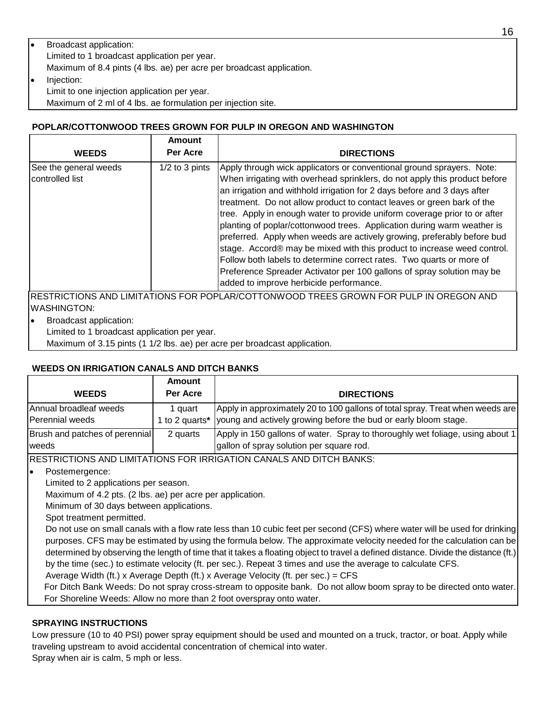# • Broadcast application: Limited to 1 broadcast application per year. Maximum of 8.4 pints (4 lbs. ae) per acre per broadcast application.

• Injection: Limit to one injection application per year.

Maximum of 2 ml of 4 lbs. ae formulation per injection site.

# **POPLAR/COTTONWOOD TREES GROWN FOR PULP IN OREGON AND WASHINGTON**

| <b>WEEDS</b>                             | Amount<br>Per Acre | <b>DIRECTIONS</b>                                                                                                                                                                                                                                                                                                                                                                                                                                                                                                                                                                                                                                                                                                                                                                                                    |
|------------------------------------------|--------------------|----------------------------------------------------------------------------------------------------------------------------------------------------------------------------------------------------------------------------------------------------------------------------------------------------------------------------------------------------------------------------------------------------------------------------------------------------------------------------------------------------------------------------------------------------------------------------------------------------------------------------------------------------------------------------------------------------------------------------------------------------------------------------------------------------------------------|
| See the general weeds<br>controlled list | $1/2$ to 3 pints   | Apply through wick applicators or conventional ground sprayers. Note:<br>When irrigating with overhead sprinklers, do not apply this product before<br>an irrigation and withhold irrigation for 2 days before and 3 days after<br>treatment. Do not allow product to contact leaves or green bark of the<br>tree. Apply in enough water to provide uniform coverage prior to or after<br>planting of poplar/cottonwood trees. Application during warm weather is<br>preferred. Apply when weeds are actively growing, preferably before bud<br>stage. Accord® may be mixed with this product to increase weed control.<br>Follow both labels to determine correct rates. Two quarts or more of<br>Preference Spreader Activator per 100 gallons of spray solution may be<br>added to improve herbicide performance. |
|                                          |                    | IDECTRICTIONS AND LIMITATIONS EOR RODLAR/COTTONIMIOOD TREES CROWN EOR RHI R IN ORECON AND                                                                                                                                                                                                                                                                                                                                                                                                                                                                                                                                                                                                                                                                                                                            |

RESTRICTIONS AND LIMITATIONS FOR POPLAR/COTTONWOOD TREES GROWN FOR PULP IN OREGON AND WASHINGTON:

- Broadcast application:
- Limited to 1 broadcast application per year.

Maximum of 3.15 pints (1 1/2 lbs. ae) per acre per broadcast application.

# **WEEDS ON IRRIGATION CANALS AND DITCH BANKS**

|                                           | Amount                  |                                                                                                                                                  |
|-------------------------------------------|-------------------------|--------------------------------------------------------------------------------------------------------------------------------------------------|
| <b>WEEDS</b>                              | Per Acre                | <b>DIRECTIONS</b>                                                                                                                                |
| Annual broadleaf weeds<br>Perennial weeds | auart<br>1 to 2 quarts* | Apply in approximately 20 to 100 gallons of total spray. Treat when weeds are<br>young and actively growing before the bud or early bloom stage. |
| Brush and patches of perennial<br>weeds   | 2 quarts                | Apply in 150 gallons of water. Spray to thoroughly wet foliage, using about 1<br>gallon of spray solution per square rod.                        |

RESTRICTIONS AND LIMITATIONS FOR IRRIGATION CANALS AND DITCH BANKS:

Postemergence:

Limited to 2 applications per season.

Maximum of 4.2 pts. (2 lbs. ae) per acre per application.

Minimum of 30 days between applications.

Spot treatment permitted.

Do not use on small canals with a flow rate less than 10 cubic feet per second (CFS) where water will be used for drinking purposes. CFS may be estimated by using the formula below. The approximate velocity needed for the calculation can be determined by observing the length of time that it takes a floating object to travel a defined distance. Divide the distance (ft.) by the time (sec.) to estimate velocity (ft. per sec.). Repeat 3 times and use the average to calculate CFS.

Average Width (ft.) x Average Depth (ft.) x Average Velocity (ft. per sec.) = CFS

 For Ditch Bank Weeds: Do not spray cross-stream to opposite bank. Do not allow boom spray to be directed onto water. For Shoreline Weeds: Allow no more than 2 foot overspray onto water.

# **SPRAYING INSTRUCTIONS**

Low pressure (10 to 40 PSI) power spray equipment should be used and mounted on a truck, tractor, or boat. Apply while traveling upstream to avoid accidental concentration of chemical into water. Spray when air is calm, 5 mph or less.

16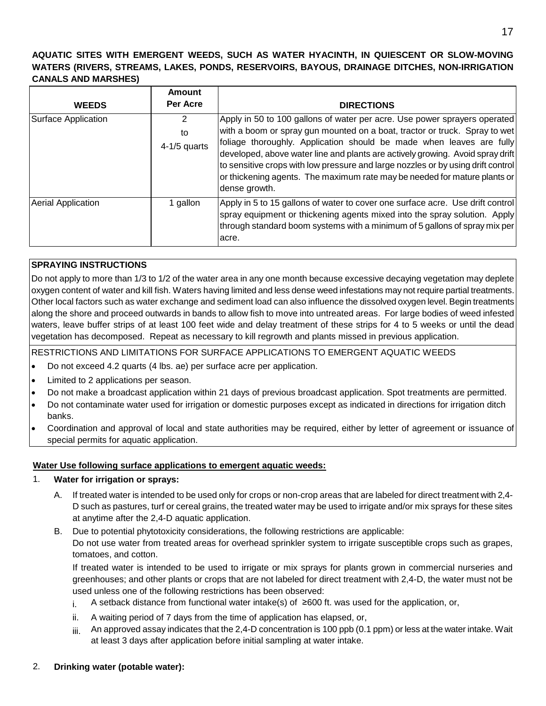# **AQUATIC SITES WITH EMERGENT WEEDS, SUCH AS WATER HYACINTH, IN QUIESCENT OR SLOW-MOVING WATERS (RIVERS, STREAMS, LAKES, PONDS, RESERVOIRS, BAYOUS, DRAINAGE DITCHES, NON-IRRIGATION CANALS AND MARSHES)**

|                           | <b>Amount</b>             |                                                                                                                                                                                                                                                                                                                                                                                                                                                                                                     |
|---------------------------|---------------------------|-----------------------------------------------------------------------------------------------------------------------------------------------------------------------------------------------------------------------------------------------------------------------------------------------------------------------------------------------------------------------------------------------------------------------------------------------------------------------------------------------------|
| <b>WEEDS</b>              | Per Acre                  | <b>DIRECTIONS</b>                                                                                                                                                                                                                                                                                                                                                                                                                                                                                   |
| Surface Application       | 2<br>to<br>$4-1/5$ quarts | Apply in 50 to 100 gallons of water per acre. Use power sprayers operated<br>with a boom or spray gun mounted on a boat, tractor or truck. Spray to wet<br>foliage thoroughly. Application should be made when leaves are fully<br>developed, above water line and plants are actively growing. Avoid spray drift<br>to sensitive crops with low pressure and large nozzles or by using drift control<br>or thickening agents. The maximum rate may be needed for mature plants or<br>dense growth. |
| <b>Aerial Application</b> | 1 gallon                  | Apply in 5 to 15 gallons of water to cover one surface acre. Use drift control<br>spray equipment or thickening agents mixed into the spray solution. Apply<br>through standard boom systems with a minimum of 5 gallons of spray mix per<br>lacre.                                                                                                                                                                                                                                                 |

# **SPRAYING INSTRUCTIONS**

Do not apply to more than 1/3 to 1/2 of the water area in any one month because excessive decaying vegetation may deplete oxygen content of water and kill fish. Waters having limited and less dense weed infestations may not require partial treatments. Other local factors such as water exchange and sediment load can also influence the dissolved oxygen level. Begin treatments along the shore and proceed outwards in bands to allow fish to move into untreated areas. For large bodies of weed infested waters, leave buffer strips of at least 100 feet wide and delay treatment of these strips for 4 to 5 weeks or until the dead vegetation has decomposed. Repeat as necessary to kill regrowth and plants missed in previous application.

RESTRICTIONS AND LIMITATIONS FOR SURFACE APPLICATIONS TO EMERGENT AQUATIC WEEDS

- Do not exceed 4.2 quarts (4 lbs. ae) per surface acre per application.
- Limited to 2 applications per season.
- Do not make a broadcast application within 21 days of previous broadcast application. Spot treatments are permitted.
- Do not contaminate water used for irrigation or domestic purposes except as indicated in directions for irrigation ditch banks.
- Coordination and approval of local and state authorities may be required, either by letter of agreement or issuance of special permits for aquatic application.

#### **Water Use following surface applications to emergent aquatic weeds:**

#### 1. **Water for irrigation or sprays:**

- A. If treated water is intended to be used only for crops or non-crop areas that are labeled for direct treatment with 2,4- D such as pastures, turf or cereal grains, the treated water may be used to irrigate and/or mix sprays for these sites at anytime after the 2,4-D aquatic application.
- B. Due to potential phytotoxicity considerations, the following restrictions are applicable: Do not use water from treated areas for overhead sprinkler system to irrigate susceptible crops such as grapes, tomatoes, and cotton.

If treated water is intended to be used to irrigate or mix sprays for plants grown in commercial nurseries and greenhouses; and other plants or crops that are not labeled for direct treatment with 2,4-D, the water must not be used unless one of the following restrictions has been observed:

- i. A setback distance from functional water intake(s) of ≥600 ft. was used for the application, or,
- ii. A waiting period of 7 days from the time of application has elapsed, or,
- $iiii$  An approved assay indicates that the 2,4-D concentration is 100 ppb (0.1 ppm) or less at the water intake. Wait at least 3 days after application before initial sampling at water intake.

#### 2. **Drinking water (potable water):**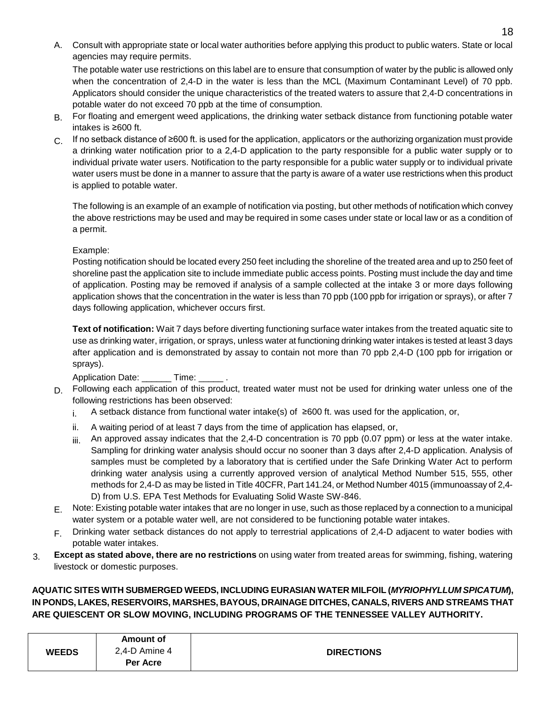A. Consult with appropriate state or local water authorities before applying this product to public waters. State or local agencies may require permits.

The potable water use restrictions on this label are to ensure that consumption of water by the public is allowed only when the concentration of 2,4-D in the water is less than the MCL (Maximum Contaminant Level) of 70 ppb. Applicators should consider the unique characteristics of the treated waters to assure that 2,4-D concentrations in potable water do not exceed 70 ppb at the time of consumption.

- B. For floating and emergent weed applications, the drinking water setback distance from functioning potable water intakes is ≥600 ft.
- C. If no setback distance of ≥600 ft. is used for the application, applicators or the authorizing organization must provide a drinking water notification prior to a 2,4-D application to the party responsible for a public water supply or to individual private water users. Notification to the party responsible for a public water supply or to individual private water users must be done in a manner to assure that the party is aware of a water use restrictions when this product is applied to potable water.

The following is an example of an example of notification via posting, but other methods of notification which convey the above restrictions may be used and may be required in some cases under state or local law or as a condition of a permit.

#### Example:

Posting notification should be located every 250 feet including the shoreline of the treated area and up to 250 feet of shoreline past the application site to include immediate public access points. Posting must include the day and time of application. Posting may be removed if analysis of a sample collected at the intake 3 or more days following application shows that the concentration in the water is less than 70 ppb (100 ppb for irrigation or sprays), or after 7 days following application, whichever occurs first.

**Text of notification:** Wait 7 days before diverting functioning surface water intakes from the treated aquatic site to use as drinking water, irrigation, or sprays, unless water at functioning drinking water intakes is tested at least 3 days after application and is demonstrated by assay to contain not more than 70 ppb 2,4-D (100 ppb for irrigation or sprays).

Application Date: Time:

- D. Following each application of this product, treated water must not be used for drinking water unless one of the following restrictions has been observed:
	- i. A setback distance from functional water intake(s) of ≥600 ft. was used for the application, or,
	- ii. A waiting period of at least 7 days from the time of application has elapsed, or,
	- $iiii$  An approved assay indicates that the 2,4-D concentration is 70 ppb (0.07 ppm) or less at the water intake. Sampling for drinking water analysis should occur no sooner than 3 days after 2,4-D application. Analysis of samples must be completed by a laboratory that is certified under the Safe Drinking Water Act to perform drinking water analysis using a currently approved version of analytical Method Number 515, 555, other methods for 2,4-D as may be listed in Title 40CFR, Part 141.24, or Method Number 4015 (immunoassay of 2,4- D) from U.S. EPA Test Methods for Evaluating Solid Waste SW-846.
- E. Note: Existing potable water intakes that are no longer in use, such as those replaced by a connection to a municipal water system or a potable water well, are not considered to be functioning potable water intakes.
- F. Drinking water setback distances do not apply to terrestrial applications of 2,4-D adjacent to water bodies with potable water intakes.
- 3. **Except as stated above, there are no restrictions** on using water from treated areas for swimming, fishing, watering livestock or domestic purposes.

# **AQUATIC SITES WITH SUBMERGED WEEDS, INCLUDING EURASIAN WATER MILFOIL (***MYRIOPHYLLUM SPICATUM***), IN PONDS, LAKES, RESERVOIRS, MARSHES, BAYOUS, DRAINAGE DITCHES, CANALS, RIVERS AND STREAMS THAT ARE QUIESCENT OR SLOW MOVING, INCLUDING PROGRAMS OF THE TENNESSEE VALLEY AUTHORITY.**

|              | <b>Amount of</b> |                   |
|--------------|------------------|-------------------|
| <b>WEEDS</b> | $2,4$ -D Amine 4 | <b>DIRECTIONS</b> |
|              | Per Acre         |                   |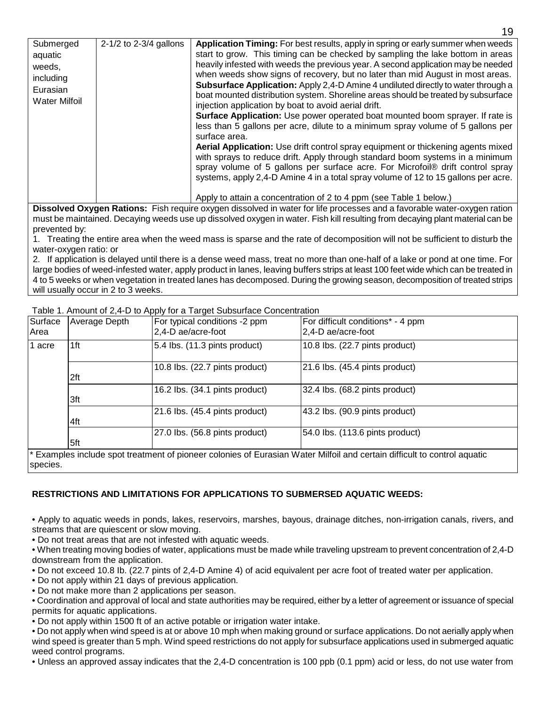| Submerged<br>aquatic<br>weeds,<br>including<br>Eurasian<br><b>Water Milfoil</b> | 2-1/2 to 2-3/4 gallons | Application Timing: For best results, apply in spring or early summer when weeds<br>start to grow. This timing can be checked by sampling the lake bottom in areas<br>heavily infested with weeds the previous year. A second application may be needed<br>when weeds show signs of recovery, but no later than mid August in most areas.<br>Subsurface Application: Apply 2,4-D Amine 4 undiluted directly to water through a<br>boat mounted distribution system. Shoreline areas should be treated by subsurface<br>injection application by boat to avoid aerial drift.<br>Surface Application: Use power operated boat mounted boom sprayer. If rate is<br>less than 5 gallons per acre, dilute to a minimum spray volume of 5 gallons per<br>surface area.<br>Aerial Application: Use drift control spray equipment or thickening agents mixed<br>with sprays to reduce drift. Apply through standard boom systems in a minimum<br>spray volume of 5 gallons per surface acre. For Microfoil® drift control spray<br>systems, apply 2,4-D Amine 4 in a total spray volume of 12 to 15 gallons per acre. |
|---------------------------------------------------------------------------------|------------------------|---------------------------------------------------------------------------------------------------------------------------------------------------------------------------------------------------------------------------------------------------------------------------------------------------------------------------------------------------------------------------------------------------------------------------------------------------------------------------------------------------------------------------------------------------------------------------------------------------------------------------------------------------------------------------------------------------------------------------------------------------------------------------------------------------------------------------------------------------------------------------------------------------------------------------------------------------------------------------------------------------------------------------------------------------------------------------------------------------------------|

Apply to attain a concentration of 2 to 4 ppm (see Table 1 below.) **Dissolved Oxygen Rations:** Fish require oxygen dissolved in water for life processes and a favorable water-oxygen ration must be maintained. Decaying weeds use up dissolved oxygen in water. Fish kill resulting from decaying plant material can be prevented by:

1. Treating the entire area when the weed mass is sparse and the rate of decomposition will not be sufficient to disturb the water-oxygen ratio: or

2. If application is delayed until there is a dense weed mass, treat no more than one-half of a lake or pond at one time. For large bodies of weed-infested water, apply product in lanes, leaving buffers strips at least 100 feet wide which can be treated in 4 to 5 weeks or when vegetation in treated lanes has decomposed. During the growing season, decomposition of treated strips will usually occur in 2 to 3 weeks.

Table 1. Amount of 2,4-D to Apply for a Target Subsurface Concentration

| Surface<br>Area | Average Depth | For typical conditions -2 ppm<br>2,4-D ae/acre-foot | For difficult conditions* - 4 ppm<br>2,4-D ae/acre-foot                                                                  |
|-----------------|---------------|-----------------------------------------------------|--------------------------------------------------------------------------------------------------------------------------|
| 1 acre<br>1ft   |               | 5.4 lbs. (11.3 pints product)                       | 10.8 lbs. (22.7 pints product)                                                                                           |
|                 | 2ft           | 10.8 lbs. (22.7 pints product)                      | 21.6 lbs. (45.4 pints product)                                                                                           |
| 3ft<br>4ft      |               | 16.2 lbs. (34.1 pints product)                      | 32.4 lbs. (68.2 pints product)                                                                                           |
|                 |               | 21.6 lbs. (45.4 pints product)                      | 43.2 lbs. (90.9 pints product)                                                                                           |
|                 | 5ft           | 27.0 lbs. (56.8 pints product)                      | 54.0 lbs. (113.6 pints product)                                                                                          |
| species.        |               |                                                     | * Examples include spot treatment of pioneer colonies of Eurasian Water Milfoil and certain difficult to control aquatic |

# **RESTRICTIONS AND LIMITATIONS FOR APPLICATIONS TO SUBMERSED AQUATIC WEEDS:**

• Apply to aquatic weeds in ponds, lakes, reservoirs, marshes, bayous, drainage ditches, non-irrigation canals, rivers, and streams that are quiescent or slow moving.

• Do not treat areas that are not infested with aquatic weeds.

• When treating moving bodies of water, applications must be made while traveling upstream to prevent concentration of 2,4-D downstream from the application.

• Do not exceed 10.8 Ib. (22.7 pints of 2,4-D Amine 4) of acid equivalent per acre foot of treated water per application.

• Do not apply within 21 days of previous application.

• Do not make more than 2 applications per season.

• Coordination and approval of local and state authorities may be required, either by a letter of agreement or issuance of special permits for aquatic applications.

• Do not apply within 1500 ft of an active potable or irrigation water intake.

• Do not apply when wind speed is at or above 10 mph when making ground or surface applications. Do not aerially apply when wind speed is greater than 5 mph. Wind speed restrictions do not apply for subsurface applications used in submerged aquatic weed control programs.

• Unless an approved assay indicates that the 2,4-D concentration is 100 ppb (0.1 ppm) acid or less, do not use water from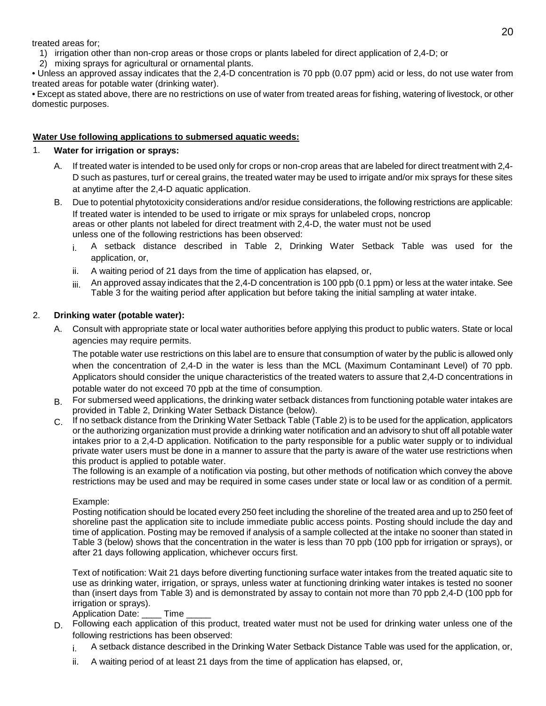treated areas for;

- 1) irrigation other than non-crop areas or those crops or plants labeled for direct application of 2,4-D; or
- 2) mixing sprays for agricultural or ornamental plants.

• Unless an approved assay indicates that the 2,4-D concentration is 70 ppb (0.07 ppm) acid or less, do not use water from treated areas for potable water (drinking water).

• Except as stated above, there are no restrictions on use of water from treated areas for fishing, watering of livestock, or other domestic purposes.

#### **Water Use following applications to submersed aquatic weeds:**

#### 1. **Water for irrigation or sprays:**

- A. If treated water is intended to be used only for crops or non-crop areas that are labeled for direct treatment with 2,4- D such as pastures, turf or cereal grains, the treated water may be used to irrigate and/or mix sprays for these sites at anytime after the 2,4-D aquatic application.
- B. Due to potential phytotoxicity considerations and/or residue considerations, the following restrictions are applicable: If treated water is intended to be used to irrigate or mix sprays for unlabeled crops, noncrop areas or other plants not labeled for direct treatment with 2,4-D, the water must not be used unless one of the following restrictions has been observed:
	- i. A setback distance described in Table 2, Drinking Water Setback Table was used for the application, or,
	- ii. A waiting period of 21 days from the time of application has elapsed, or,
	- $iiii$  An approved assay indicates that the 2,4-D concentration is 100 ppb (0.1 ppm) or less at the water intake. See Table 3 for the waiting period after application but before taking the initial sampling at water intake.

#### 2. **Drinking water (potable water):**

A. Consult with appropriate state or local water authorities before applying this product to public waters. State or local agencies may require permits.

The potable water use restrictions on this label are to ensure that consumption of water by the public is allowed only when the concentration of 2,4-D in the water is less than the MCL (Maximum Contaminant Level) of 70 ppb. Applicators should consider the unique characteristics of the treated waters to assure that 2,4-D concentrations in potable water do not exceed 70 ppb at the time of consumption.

- B. For submersed weed applications, the drinking water setback distances from functioning potable water intakes are provided in Table 2, Drinking Water Setback Distance (below).
- C. If no setback distance from the Drinking Water Setback Table (Table 2) is to be used for the application, applicators or the authorizing organization must provide a drinking water notification and an advisory to shut off all potable water intakes prior to a 2,4-D application. Notification to the party responsible for a public water supply or to individual private water users must be done in a manner to assure that the party is aware of the water use restrictions when this product is applied to potable water.

The following is an example of a notification via posting, but other methods of notification which convey the above restrictions may be used and may be required in some cases under state or local law or as condition of a permit.

#### Example:

Posting notification should be located every 250 feet including the shoreline of the treated area and up to 250 feet of shoreline past the application site to include immediate public access points. Posting should include the day and time of application. Posting may be removed if analysis of a sample collected at the intake no sooner than stated in Table 3 (below) shows that the concentration in the water is less than 70 ppb (100 ppb for irrigation or sprays), or after 21 days following application, whichever occurs first.

Text of notification: Wait 21 days before diverting functioning surface water intakes from the treated aquatic site to use as drinking water, irrigation, or sprays, unless water at functioning drinking water intakes is tested no sooner than (insert days from Table 3) and is demonstrated by assay to contain not more than 70 ppb 2,4-D (100 ppb for irrigation or sprays).

Application Date: Time

- D. Following each application of this product, treated water must not be used for drinking water unless one of the following restrictions has been observed:
	- i. A setback distance described in the Drinking Water Setback Distance Table was used for the application, or,
	- ii. A waiting period of at least 21 days from the time of application has elapsed, or,